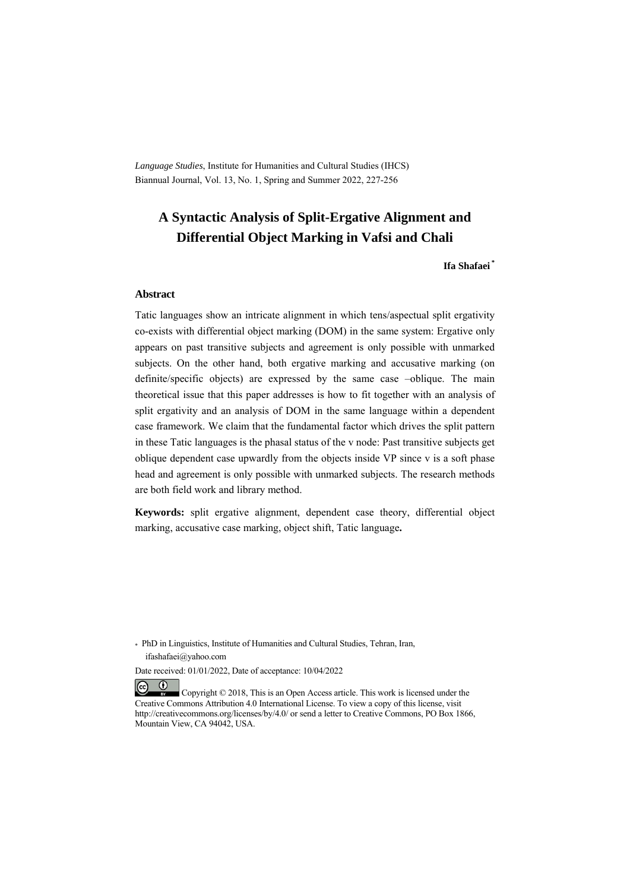*Language Studies*, Institute for Humanities and Cultural Studies (IHCS) Biannual Journal, Vol. 13, No. 1, Spring and Summer 2022, 227-256

# **A Syntactic Analysis of Split-Ergative Alignment and Differential Object Marking in Vafsi and Chali**

#### **Ifa Shafaei \***

#### **Abstract**

Tatic languages show an intricate alignment in which tens/aspectual split ergativity co-exists with differential object marking (DOM) in the same system: Ergative only appears on past transitive subjects and agreement is only possible with unmarked subjects. On the other hand, both ergative marking and accusative marking (on definite/specific objects) are expressed by the same case –oblique. The main theoretical issue that this paper addresses is how to fit together with an analysis of split ergativity and an analysis of DOM in the same language within a dependent case framework. We claim that the fundamental factor which drives the split pattern in these Tatic languages is the phasal status of the v node: Past transitive subjects get oblique dependent case upwardly from the objects inside VP since v is a soft phase head and agreement is only possible with unmarked subjects. The research methods are both field work and library method.

**Keywords:** split ergative alignment, dependent case theory, differential object marking, accusative case marking, object shift, Tatic language**.** 

\* PhD in Linguistics, Institute of Humanities and Cultural Studies, Tehran, Iran, ifashafaei@yahoo.com

Date received: 01/01/2022, Date of acceptance: 10/04/2022

 $(cc)$  $(1)$  Copyright © 2018, This is an Open Access article. This work is licensed under the Creative Commons Attribution 4.0 International License. To view a copy of this license, visit http://creativecommons.org/licenses/by/4.0/ or send a letter to Creative Commons, PO Box 1866, Mountain View, CA 94042, USA.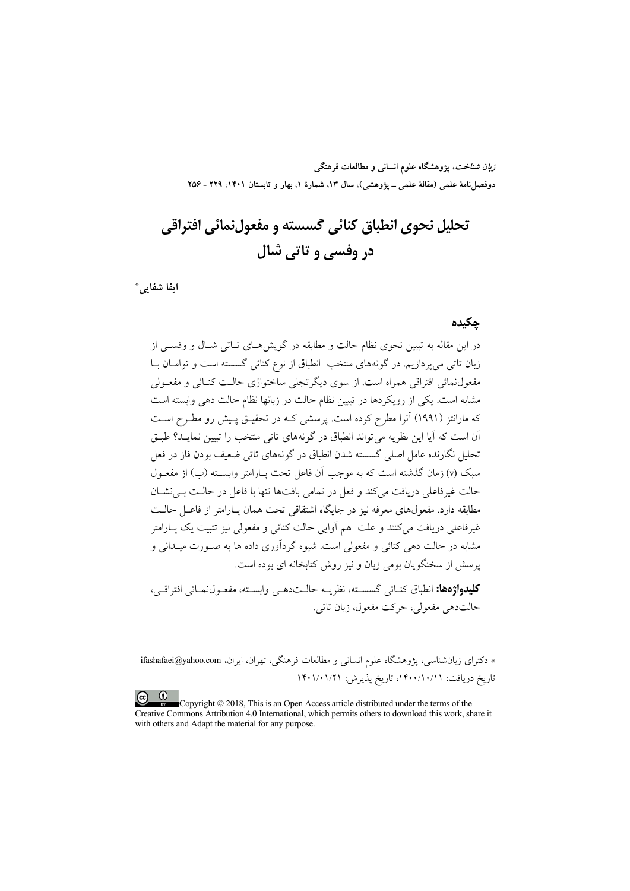**زبان شناخت، پژوهشگاه علوم انساني و مطالعات فرهنگي** دوفصلiاههٔ علمی (مقالهٔ علمی ـ پژوهشی)، سال ۱۳، شمارهٔ ۱، بهار و تابستان ۱۴۰۱، ۲۲۹ ـ ۲۵۶

# **تحليل نحوي انطباق كنائي گسسته و مفعولنمائي افتراقي در وفسي و تاتي شال**

 **\* ايفا شفايي**

**چكيده** 

در اين مقاله به تبيين نحوي نظام حالت و مطابقه در گويشهـاي تـاتي شـال و وفسـي از زبان تاتي ميپردازيم. در گونههاي منتخب انطباق از نوع كنائي گسسته است و توامـان بـا مفعولنمائي افتراقي همراه است. از سوي ديگرتجلي ساختواژي حالـت كنـائي و مفعـولي مشابه است. يكي از رويكردها در تبيين نظام حالت در زبانها نظام حالت دهي وابسته است كه مارانتز (1991) آنرا مطرح كرده است. پرسشي كـه در تحقيـق پـيش رو مطـرح اسـت آن است كه آيا اين نظريه ميتواند انطباق در گونههاي تاتي منتخب را تبيين نمايـد؟ طبـق تحليل نگارنده عامل اصلي گسسته شدن انطباق در گونههاي تاتي ضعيف بودن فاز در فعل سبك (v (زمان گذشته است كه به موجب آن فاعل تحت پـارامتر وابسـته (ب) از مفعـول حالت غيرفاعلي دريافت ميكند و فعل در تمامي بافتها تنها با فاعل در حالـت بـينشـان مطابقه دارد. مفعولهاي معرفه نيز در جايگاه اشتقاقي تحت همان پـارامتر از فاعـل حالـت غيرفاعلي دريافت ميكنند و علت هم آوايي حالت كنائي و مفعولي نيز تثبيت يك پـارامتر مشابه در حالت دهي كنائي و مفعولي است. شيوه گردآوري داده ها به صـورت ميـداني و پرسش از سخنگويان بومي زبان و نيز روش كتابخانه اي بوده است.

**كليدواژهها:** انطباق كنـائي گسسـته، نظريـه حالـتدهـي وابسـته، مفعـولنمـائي افتراقـي، حالتدهي مفعولي، حركت مفعول، زبان تاتي.

\* دكتراي زبانشناسي، پژوهشگاه علوم انساني و مطالعات فرهنگي، تهران، ايران، com.yahoo@ifashafaei تاريخ دريافت: ،1400/10/11 تاريخ پذيرش: 1401/01/21

Copyright © 2018, This is an Open Access article distributed under the terms of the Creative Commons Attribution 4.0 International, which permits others to download this work, share it with others and Adapt the material for any purpose.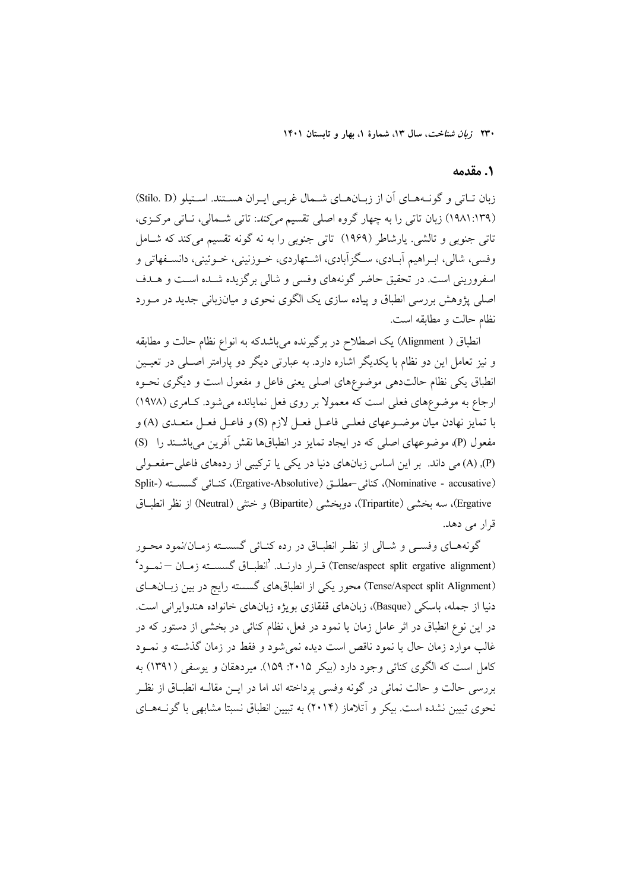### **.1 مقدمه**

زبان تـاتي و گونـههـاي آن از زبـانهـاي شـمال غربـي ايـران هسـتند. اسـتيلو (D .Stilo( (1981:139) زبان تاتي را به چهار گروه اصلي تقسيم ميكند: تاتي شـمالي، تـاتي مركـزي، تاتي جنوبي و تالشي. يارشاطر (1969) تاتي جنوبي را به نه گونه تقسيم ميكند كه شـامل وفسي، شالي، ابـراهيم آبـادي، سـگزآبادي، اشـتهاردي، خـوزنيني، خـوئيني، دانسـفهاتي و اسفروريني است. در تحقيق حاضر گونههاي وفسي و شالي برگزيده شـده اسـت و هـدف اصلي پژوهش بررسي انطباق و پياده سازي يك الگوي نحوي و ميانزباني جديد در مـورد نظام حالت و مطابقه است.

انطباق ( Alignment (يك اصطلاح در برگيرنده ميباشدكه به انواع نظام حالت و مطابقه و نيز تعامل اين دو نظام با يكديگر اشاره دارد. به عبارتي ديگر دو پارامتر اصـلي در تعيـين انطباق يكي نظام حالتدهي موضوعهاي اصلي يعني فاعل و مفعول است و ديگري نحـوه ارجاع به موضوعهاي فعلي است كه معمولا بر روي فعل نمايانده ميشود. كـامري ( 1978) با تمايز نهادن ميان موضـوعهاي فعلـي فاعـل فعـل لازم (S (و فاعـل فعـل متعـدي (A (و مفعول (P)، موضوعهاي اصلي كه در ايجاد تمايز در انطباقها نقش آفرين مي باشـند را (S) (P(,) A (مي داند. بر اين اساس زبانهاي دنيا در يكي يا تركيبي از ردههاي فاعلي-مفعـولي Split-) گسسـته كنـائي ،)Ergative-Absolutive) مطلـق-كنائي ،)Nominative - accusative) Ergative)، سه بخشي (Tripartite)، دويخشي (Bipartite) و خنثي (Neutral) از نظر انطبــاق قرار مي دهد.

گونههـاي وفسـي و شـالي از نظـر انطبـاق در رده كنـائي گسسـته زمـان/نمود محـور (Tense/aspect split ergative alignment) قـرار دارنـد. 'انطبـاق گسسـته زمـان – نمـود' (Tense/Aspect split Alignment) محور يكي از انطباقهاي گسسته رايج در بين زبـانهـاي دنيا از جمله، باسكي (Basque)، زبانهاي قفقازي بويژه زبانهاي خانواده هندوايراني است. در اين نوع انطباق در اثر عامل زمان يا نمود در فعل، نظام كنائي در بخشي از دستور كه در غالب موارد زمان حال يا نمود ناقص است ديده نميشود و فقط در زمان گذشـته و نمـود كامل است كه الگوي كنائي وجود دارد (بيكر :2015 159). ميردهقان و يوسفي (1391) به بررسي حالت و حالت نمائي در گونه وفسي پرداخته اند اما در ايـن مقالـه انطبـاق از نظـر نحوي تبيين نشده است. بيكر و آتلاماز (2014) به تبيين انطباق نسبتا مشابهي با گونـههـاي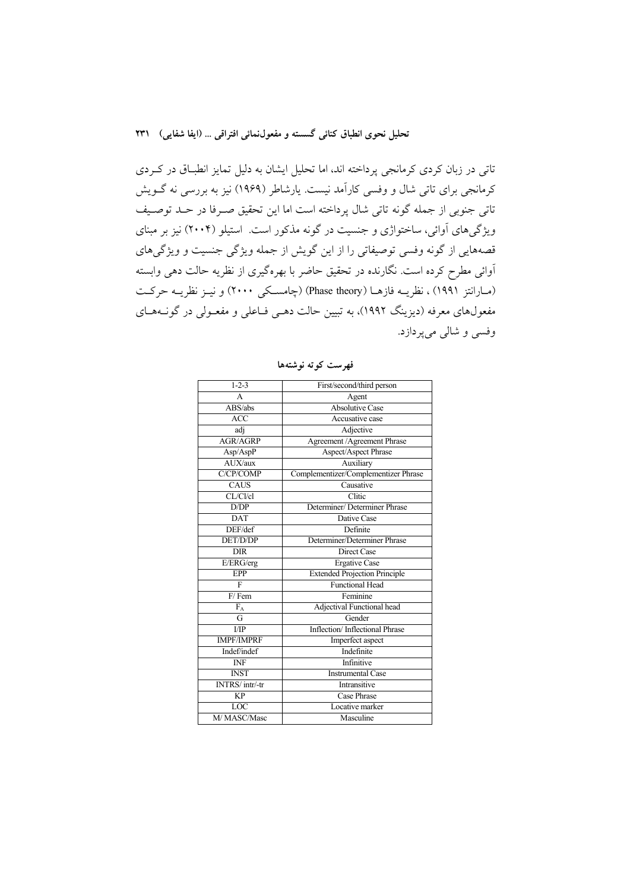تاتي در زبان كردي كرمانجي پرداخته اند، اما تحليل ايشان به دليل تمايز انطبـاق در كـردي كرمانجي براي تاتي شال و وفسي كارآمد نيست. يارشاطر (1969) نيز به بررسي نه گـويش تاتي جنوبي از جمله گونه تاتي شال پرداخته است اما اين تحقيق صـرفا در حـد توصـيف ويژگيهاي آوائي، ساختواژي و جنسيت در گونه مذكور است. استيلو (2004) نيز بر مبناي قصههايي از گونه وفسي توصيفاتي را از اين گويش از جمله ويژگي جنسيت و ويژگيهاي آوائي مطرح كرده است. نگارنده در تحقيق حاضر با بهرهگيري از نظريه حالت دهي وابسته (مـارانتز 1991) ، نظريـه فازهـا (theory Phase) (چامسـكي 2000) و نيـز نظريـه حركـت مفعولهاي معرفه (ديزينگ 1992)، به تبيين حالت دهـي فـاعلي و مفعـولي در گونـههـاي وفسي و شالي ميپردازد.

| $1 - 2 - 3$             | First/second/third person            |
|-------------------------|--------------------------------------|
| A                       | Agent                                |
| ABS/abs                 | <b>Absolutive Case</b>               |
| <b>ACC</b>              | Accusative case                      |
| adi                     | Adjective                            |
| <b>AGR/AGRP</b>         | Agreement / Agreement Phrase         |
| Asp/AspP                | Aspect/Aspect Phrase                 |
| AUX/aux                 | Auxiliary                            |
| C/CP/COMP               | Complementizer/Complementizer Phrase |
| <b>CAUS</b>             | Causative                            |
| CL/Cl/cl                | Clitic                               |
| D/DP                    | Determiner/Determiner Phrase         |
| $\overline{\text{DAT}}$ | Dative Case                          |
| DEF/def                 | Definite                             |
| DET/D/DP                | Determiner/Determiner Phrase         |
| <b>DIR</b>              | Direct Case                          |
| E/ERG/erg               | <b>Ergative Case</b>                 |
| <b>EPP</b>              | <b>Extended Projection Principle</b> |
| F                       | <b>Functional Head</b>               |
| $F/$ Fem                | Feminine                             |
| $F_A$                   | Adjectival Functional head           |
| G                       | Gender                               |
| $\overline{UP}$         | Inflection/Inflectional Phrase       |
| <b>IMPF/IMPRF</b>       | Imperfect aspect                     |
| Indef/indef             | Indefinite                           |
| <b>INF</b>              | Infinitive                           |
| <b>INST</b>             | <b>Instrumental Case</b>             |
| INTRS/intr/-tr          | Intransitive                         |
| <b>KP</b>               | Case Phrase                          |
| LOC                     | Locative marker                      |
| M/MASC/Masc             | Masculine                            |

**فهرست كوته نوشتهها**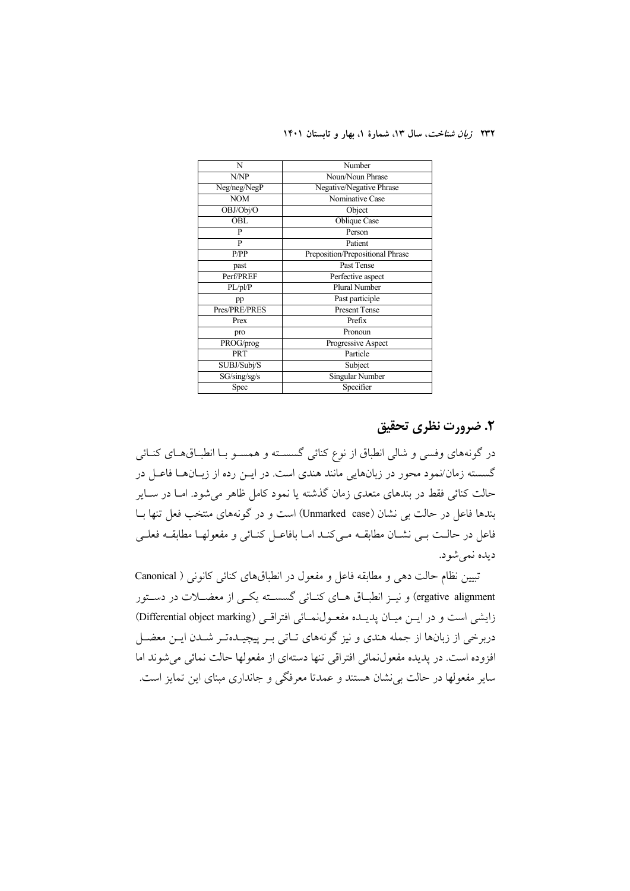| N                 | Number                           |
|-------------------|----------------------------------|
| N/NP              | Noun/Noun Phrase                 |
| Neg/neg/NegP      | Negative/Negative Phrase         |
| $\overline{N}$ OM | Nominative Case                  |
| OBJ/Obj/O         | Object                           |
| <b>OBL</b>        | Oblique Case                     |
| P                 | Person                           |
| P                 | Patient                          |
| P/PP              | Preposition/Prepositional Phrase |
| past              | Past Tense                       |
| Perf/PREF         | Perfective aspect                |
| PL/pl/P           | Plural Number                    |
| pp                | Past participle                  |
| Pres/PRE/PRES     | <b>Present Tense</b>             |
| Prex              | Prefix                           |
| pro               | Pronoun                          |
| PROG/prog         | Progressive Aspect               |
| <b>PRT</b>        | Particle                         |
| SUBJ/Subj/S       | Subject                          |
| SG/sing/sg/s      | Singular Number                  |
| Spec              | Specifier                        |

# **.2 ضرورت نظري تحقيق**

در گونههاي وفسي و شالي انطباق از نوع كنائي گسسـته و همسـو بـا انطبـاقهـاي كنـائي گسسته زمان/نمود محور در زبانهايي مانند هندي است. در ايـن رده از زبـانهـا فاعـل در حالت كنائي فقط در بندهاي متعدي زمان گذشته يا نمود كامل ظاهر ميشود. امـا در سـاير بندها فاعل در حالت بي نشان (case Unmarked (است و در گونههاي منتخب فعل تنها بـا فاعل در حالـت بـي نشـان مطابقـه مـيكنـد امـا بافاعـل كنـائي و مفعولهـا مطابقـه فعلـي ديده نميشود.

تبيين نظام حالت دهي و مطابقه فاعل و مفعول در انطباقهاي كنائي كانوني ( Canonical ergative alignment) و نيـز انطبـاق هـاي كنـائي گسسـته يكـي از معضـلات در دسـتور زايشي است و در ايـن ميـان پديـده مفعـولنمـائي افتراقـي (Differential object marking) دربرخي از زبانها از جمله هندي و نيز گونههاي تـاتي بـر پيچيـدهتـر شـدن ايـن معضـل افزوده است. در پديده مفعولنمائي افتراقي تنها دستهاي از مفعولها حالت نمائي ميشوند اما ساير مفعولها در حالت بينشان هستند و عمدتا معرفگي و جانداري مبناي اين تمايز است.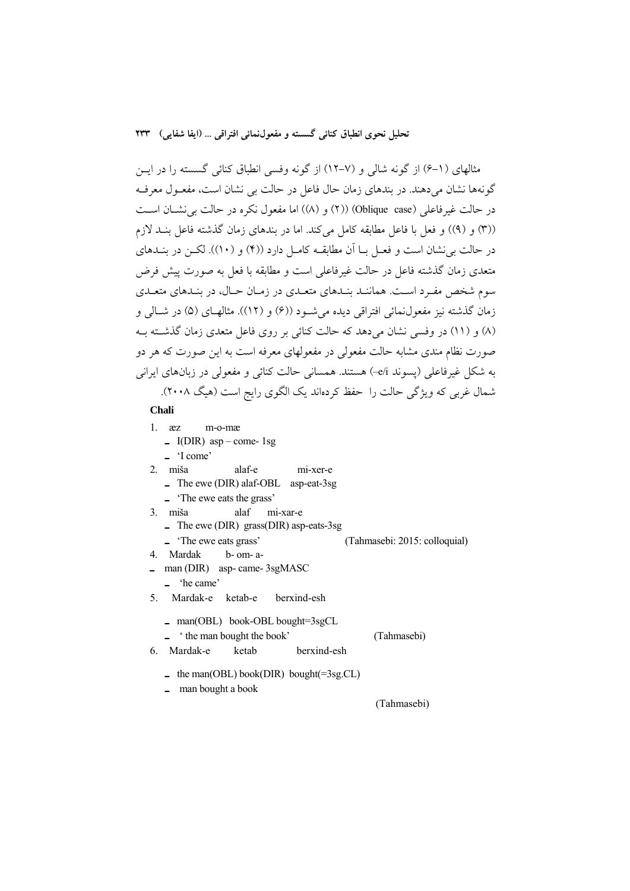مثالهاي (6-1) از گونه شالي و (12-7) از گونه وفسي انطباق كنائي گسسته را در ايـن گونهها نشان ميدهند. در بندهاي زمان حال فاعل در حالت بي نشان است، مفعـول معرفـه در حالت غيرفاعلي (case Oblique)) (2 (و (8)) اما مفعول نكره در حالت بينشـان اسـت ((3) و (9)) و فعل با فاعل مطابقه كامل ميكند. اما در بندهاي زمان گذشته فاعل بنـد لازم در حالت بينشان است و فعـل بـا آن مطابقـه كامـل دارد (( 4) و (10)). لكـن در بنـدهاي متعدي زمان گذشته فاعل در حالت غيرفاعلي است و مطابقه با فعل به صورت پيش فرض سوم شخص مفـرد اسـت. هماننـد بنـدهاي متعـدي در زمـان حـال، در بنـدهاي متعـدي زمان گذشته نيز مفعولنمائي افتراقي ديده ميشـود ((6) و (12)). مثالهـاي ( 5) در شـالي و (8) و (11) در وفسي نشان ميدهد كه حالت كنائي بر روي فاعل متعدي زمان گذشـته بـه صورت نظام مندي مشابه حالت مفعولي در مفعولهاي معرفه است به اين صورت كه هر دو به شكل غيرفاعلي (پسوند i/e (–هستند. همساني حالت كنائي و مفعولي در زبانهاي ايراني شمال غربي كه ويژگي حالت را حفظ كردهاند يك الگوي رايج است (هيگ 2008).

### **Chali**

- 1. æz m-o-mæ
	- $\blacksquare$  I(DIR) asp come- 1sg
	- **ـ**' I come'
- 2. miša alaf-e mi-xer-e
	- **ـ** The ewe (DIR) alaf-OBL asp-eat-3sg
	- **ـ**' The ewe eats the grass'
- 3. miša alaf mi-xar-e
	- **ـ** The ewe (DIR) grass(DIR) asp-eats-3sg
	- **ـ**' The ewe eats grass' (Tahmasebi: 2015: colloquial)
- 4. Mardak b- om- a-
- **ـ** man (DIR) asp- came- 3sgMASC
	- **ـ**' he came'
- 5. Mardak-e ketab-e berxind-esh
	- **ـ** man(OBL) book-OBL bought=3sgCL
	- **ـ** ' the man bought the book' (Tahmasebi)
- 6. Mardak-e ketab berxind-esh
	- **ـ** the man(OBL) book(DIR) bought(=3sg.CL)
	- **ـ** man bought a book

(Tahmasebi)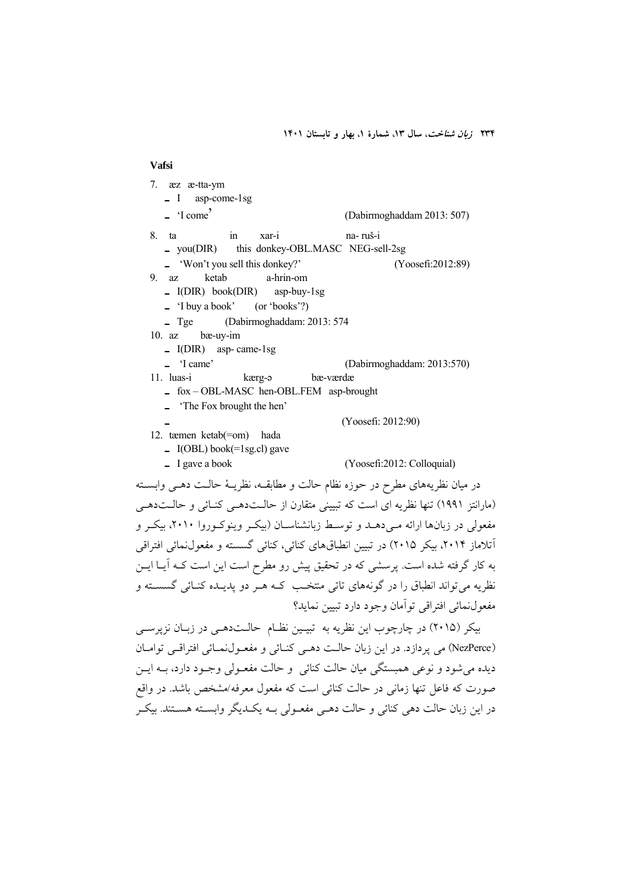#### **Vafsi**

- 7. æz æ-tta-ym **ـ** I asp-come-1sg
	- **ـ**' I come' (Dabirmoghaddam 2013: 507)
- 8. ta in xar-i na- ruš-i
	- **ـ** you(DIR) this donkey-OBL.MASC NEG-sell-2sg
	- **ـ**' Won't you sell this donkey?' (Yoosefi:2012:89)
- 9. az ketab a-hrin-om
	- **ـ** I(DIR) book(DIR) asp-buy-1sg
	- **ـ**' I buy a book' (or 'books'?)
- $\frac{1}{2}$  Tge (Dabirmoghaddam: 2013: 574
- bæ-uy-im
	- **ـ** I(DIR) asp- came-1sg
- $\frac{1}{2}$   $\frac{1}{2}$  Came' (Dabirmoghaddam: 2013:570)
- kærg-a bæ-værdæ
	- **ـ** fox OBL-MASC hen-OBL.FEM asp-brought
	- **ـ**' The Fox brought the hen'
	-

### 12. tæmen ketab(=om) hada

- **ـ** I(OBL) book(=1sg.cl) gave
- **ـ** I gave a book(Yoosefi:2012: Colloquial)
	-

(Yoosefi: 2012:90)

در ميان نظريههاي مطرح در حوزه نظام حالت و مطابقـه، نظريـة حالـت دهـي وابسـته (مارانتز 1991) تنها نظريه اي است كه تبييني متقارن از حالـتدهـي كنـائي و حالـتدهـي مفعولي در زبانها ارائه مـيدهـد و توسـط زبانشناسـان (بيكـر وينوكـوروا ،2010 بيكـر و آتلاماز ،2014 بيكر 2015) در تبيين انطباقهاي كنائي، كنائي گسسته و مفعولنمائي افتراقي به كار گرفته شده است. پرسشي كه در تحقيق پيش رو مطرح است اين است كـه آيـا ايـن نظريه ميتواند انطباق را در گونههاي تاتي منتخـب كـه هـر دو پديـده كنـائي گسسـته و مفعولنمائي افتراقي توآمان وجود دارد تبيين نمايد؟

بيكر (2015) در چارچوب اين نظريه به تبيـين نظـام حالـتدهـي در زبـان نزپرسـي (NezPerce (مي پردازد. در اين زبان حالـت دهـي كنـائي و مفعـولنمـائي افتراقـي توامـان ديده ميشود و نوعي همبستگي ميان حالت كنائي و حالت مفعـولي وجـود دارد، بـه ايـن صورت كه فاعل تنها زماني در حالت كنائي است كه مفعول معرفه/مشخص باشد. در واقع در اين زبان حالت دهي كنائي و حالت دهـي مفعـولي بـه يكـديگر وابسـته هسـتند. بيكـر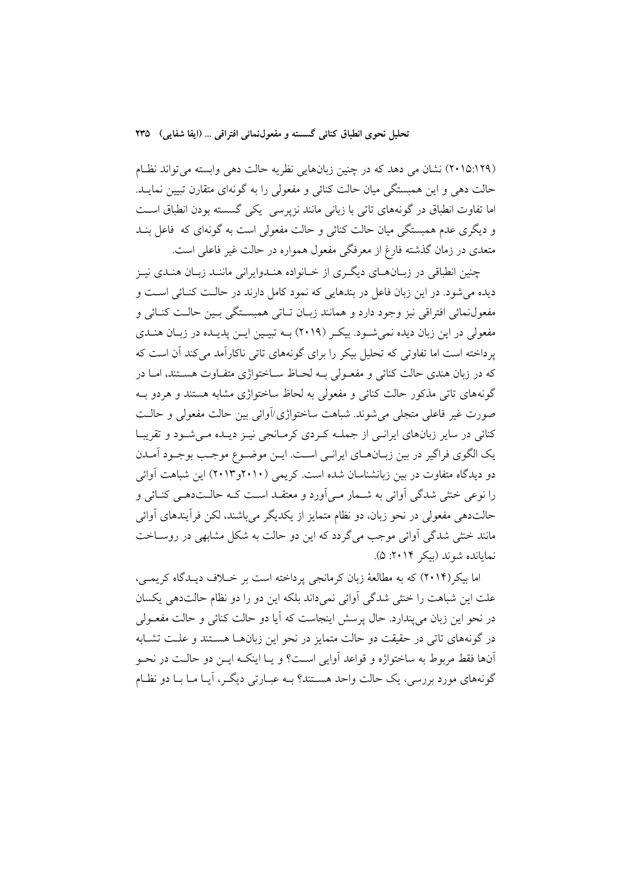(2015:129) نشان مي دهد كه در چنين زبانهايي نظريه حالت دهي وابسته ميتواند نظـام حالت دهي و اين همبستگي ميان حالت كنائي و مفعولي را به گونهاي متقارن تبيين نمايـد. اما تفاوت انطباق در گونههاي تاتي با زباني مانند نزپرسي يكي گسسته بودن انطباق اسـت و ديگري عدم همبستگي ميان حالت كنائي و حالت مفعولي است به گونهاي كه فاعل بنـد متعدي در زمان گذشته فارغ از معرفگي مفعول همواره در حالت غير فاعلي است.

چنين انطباقي در زبـانهـاي ديگـري از خـانواده هنـدوايراني ماننـد زبـان هنـدي نيـز ديده ميشود. در اين زبان فاعل در بندهايي كه نمود كامل دارند در حالـت كنـائي اسـت و مفعولنمائي افتراقي نيز وجود دارد و همانند زبـان تـاتي همبسـتگي بـين حالـت كنـائي و مفعولي در اين زبان ديده نميشـود. بيكـر ( 2019) بـه تبيـين ايـن پديـده در زبـان هنـدي پرداخته است اما تفاوتي كه تحليل بيكر را براي گونههاي تاتي ناكارآمد ميكند آن است كه كه در زبان هندي حالت كنائي و مفعـولي بـه لحـاظ سـاختواژي متفـاوت هسـتند، امـا در گونههاي تاتي مذكور حالت كنائي و مفعولي به لحاظ ساختواژي مشابه هستند و هردو بـه صورت غير فاعلي متجلي ميشوند. شباهت ساختواژي/آوائي بين حالت مفعولي و حالـت كنائي در ساير زبانهاي ايرانـي از جملـه كـردي كرمـانجي نيـز ديـده مـيشـود و تقريبـا يك الگوي فراگير در بين زبـانهـاي ايرانـي اسـت. ايـن موضـوع موجـب بوجـود آمـدن دو ديدگاه متفاوت در بين زبانشناسان شده است. كريمي (2010و2013) اين شباهت آوائي را نوعي خنثي شدگي آوائي به شـمار مـيآورد و معتقـد اسـت كـه حالـتدهـي كنـائي و حالتدهي مفعولي در نحو زبان، دو نظام متمايز از يكديگر ميباشند، لكن فرآيندهاي آوائي مانند خنثي شدگي آوائي موجب ميگردد كه اين دو حالت به شكل مشابهي در روسـاخت نمايانده شوند (بيكر :2014 5).

اما بيكر(2014) كه به مطالعة زبان كرمانجي پرداخته است بر خـلاف ديـدگاه كريمـي، علت اين شباهت را خنثي شدگي آوائي نميداند بلكه اين دو را دو نظام حالتدهي يكسان در نحو اين زبان ميپندارد. حال پرسش اينجاست كه آيا دو حالت كنائي و حالت مفعـولي در گونههاي تاتي در حقيقت دو حالت متمايز در نحو اين زبانهـا هسـتند و علـت تشـابه آنها فقط مربوط به ساختواژه و قواعد آوايي اسـت؟ و يـا اينكـه ايـن دو حالـت در نحـو گونههاي مورد بررسي، يك حالت واحد هسـتند؟ بـه عبـارتي ديگـر، آيـا مـا بـا دو نظـام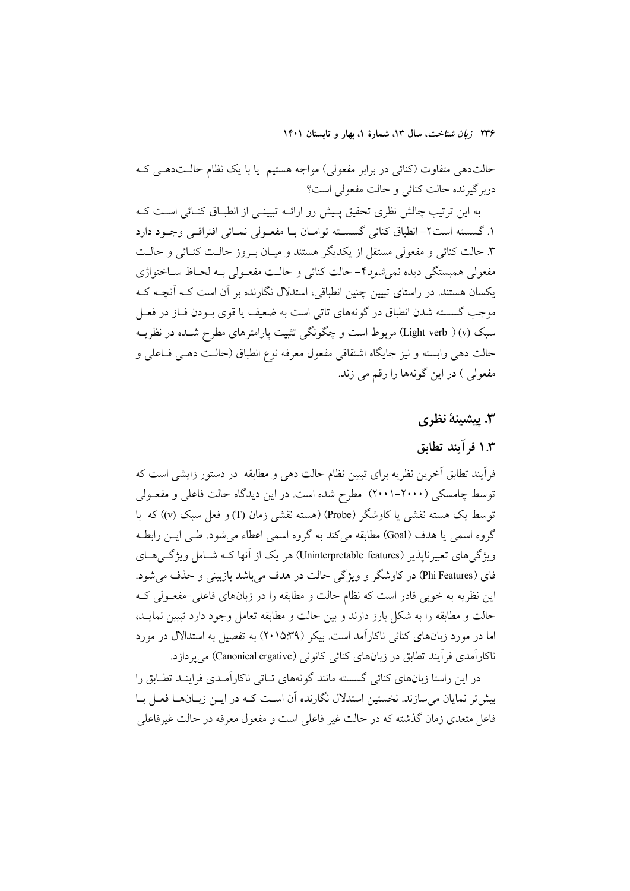حالتدهي متفاوت (كنائي در برابر مفعولي) مواجه هستيم يا با يك نظام حالـتدهـي كـه دربرگيرنده حالت كنائي و حالت مفعولي است؟

به اين ترتيب چالش نظري تحقيق پـيش رو ارائـه تبيينـي از انطبـاق كنـائي اسـت كـه .1 گسسته است-2 انطباق كنائي گسسـته توامـان بـا مفعـولي نمـائي افتراقـي وجـود دارد .3 حالت كنائي و مفعولي مستقل از يكديگر هستند و ميـان بـروز حالـت كنـائي و حالـت مفعولي همبستگي ديده نميشود-4 حالت كنائي و حالـت مفعـولي بـه لحـاظ سـاختواژي يكسان هستند. در راستاي تبيين چنين انطباقي، استدلال نگارنده بر آن است كـه آنچـه كـه موجب گسسته شدن انطباق در گونههاي تاتي است به ضعيف يا قوي بـودن فـاز در فعـل سبك (v ) (verb Light (مربوط است و چگونگي تثبيت پارامترهاي مطرح شـده در نظريـه حالت دهي وابسته و نيز جايگاه اشتقاقي مفعول معرفه نوع انطباق (حالـت دهـي فـاعلي و مفعولي ) در اين گونهها را رقم مي زند.

## **.3 پيشينة نظري**

# **1.3 فرآيند تطابق**

فرآيند تطابق آخرين نظريه براي تبيين نظام حالت دهي و مطابقه در دستور زايشي است كه توسط چامسكي (2001-2000) مطرح شده است. در اين ديدگاه حالت فاعلي و مفعـولي توسط يك هسته نقشي يا كاوشگر (Probe) (هسته نقشي زمان (T (و فعل سبك (v ((كه با گروه اسمي يا هدف (Goal) مطابقه مي كند به گروه اسمي اعطاء مي شود. طـي ايـن رابطـه ويژگيهاي تعبيرناپذير (features Uninterpretable (هر يك از آنها كـه شـامل ويژگـيهـاي فاي (Phi Features) در كاوشگر و ويژگي حالت در هدف مي باشد بازبيني و حذف مي شود. اين نظريه به خوبي قادر است كه نظام حالت و مطابقه را در زبانهاي فاعلي-مفعـولي كـه حالت و مطابقه را به شكل بارز دارند و بين حالت و مطابقه تعامل وجود دارد تبيين نمايـد، اما در مورد زبانهاي كنائي ناكارآمد است. بيكر (2015:39) به تفصيل به استدالال در مورد ناكارآمدي فرآيند تطابق در زبانهاي كنائي كانوني (Canonical ergative) ميپردازد.

در اين راستا زبانهاي كنائي گسسته مانند گونههاي تـاتي ناكارآمـدي فراينـد تطـابق را بيشتر نمايان ميسازند. نخستين استدلال نگارنده آن اسـت كـه در ايـن زبـانهـا فعـل بـا فاعل متعدي زمان گذشته كه در حالت غير فاعلي است و مفعول معرفه در حالت غيرفاعلي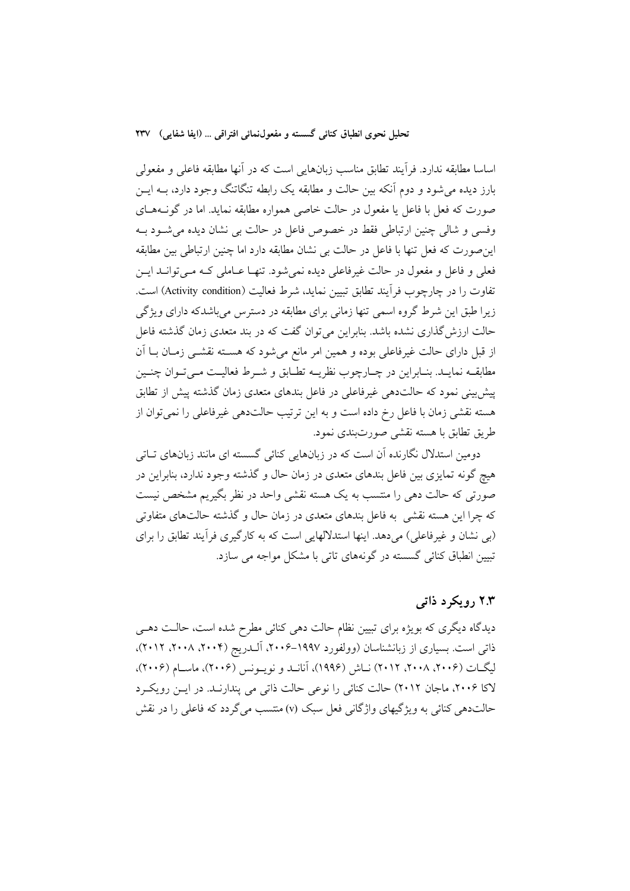اساسا مطابقه ندارد. فرآيند تطابق مناسب زبانهايي است كه در آنها مطابقه فاعلي و مفعولي بارز ديده ميشود و دوم آنكه بين حالت و مطابقه يك رابطه تنگاتنگ وجود دارد، بـه ايـن صورت كه فعل با فاعل يا مفعول در حالت خاصي همواره مطابقه نمايد. اما در گونـههـاي وفسي و شالي چنين ارتباطي فقط در خصوص فاعل در حالت بي نشان ديده ميشـود بـه اينصورت كه فعل تنها با فاعل در حالت بي نشان مطابقه دارد اما چنين ارتباطي بين مطابقه فعلي و فاعل و مفعول در حالت غيرفاعلي ديده نميشود. تنهـا عـاملي كـه مـيتوانـد ايـن تفاوت را در چارچوب فرآيند تطابق تبيين نمايد، شرط فعاليت (Activity condition) است. زيرا طبق اين شرط گروه اسمي تنها زماني براي مطابقه در دسترس ميباشدكه داراي ويژگي حالت ارزشگذاري نشده باشد. بنابراين ميتوان گفت كه در بند متعدي زمان گذشته فاعل از قبل داراي حالت غيرفاعلي بوده و همين امر مانع ميشود كه هسـته نقشـي زمـان بـا آن مطابقـه نمايـد. بنـابراين در چـارچوب نظريـه تطـابق و شـرط فعاليـت مـيتـوان چنـين پيشبيني نمود كه حالتدهي غيرفاعلي در فاعل بندهاي متعدي زمان گذشته پيش از تطابق هسته نقشي زمان با فاعل رخ داده است و به اين ترتيب حالتدهي غيرفاعلي را نميتوان از طريق تطابق با هسته نقشي صورتبندي نمود.

دومين استدلال نگارنده آن است كه در زبانهايي كنائي گسسته اي مانند زبانهاي تـاتي هيچ گونه تمايزي بين فاعل بندهاي متعدي در زمان حال و گذشته وجود ندارد، بنابراين در صورتي كه حالت دهي را منتسب به يك هسته نقشي واحد در نظر بگيريم مشخص نيست كه چرا اين هسته نقشي به فاعل بندهاي متعدي در زمان حال و گذشته حالتهاي متفاوتي (بي نشان و غيرفاعلي) ميدهد. اينها استدلالهايي است كه به كارگيري فرآيند تطابق را براي تبيين انطباق كنائي گسسته در گونههاي تاتي با مشكل مواجه مي سازد.

# **2.3 رويكرد ذاتي**

ديدگاه ديگري كه بويژه براي تبيين نظام حالت دهي كنائي مطرح شده است، حالـت دهـي ذاتي است. بسياري از زبانشناسان (وولفورد ١٩٩٧-٢٠٠۶، آلـدريج (٢٠٠٢، ٢٠١٨، ٢٠١٢)، ليگـات (،2006 ،2008 2012) نـاش (1996)، آنانـد و نويـونس (2006)، ماسـام (2006)، لاكا ،2006 ماجان 2012) حالت كنائي را نوعي حالت ذاتي مي پندارنـد. در ايـن رويكـرد حالتدهي كنائي به ويژگيهاي واژگاني فعل سبك (v) منتسب مي گردد كه فاعلي را در نقش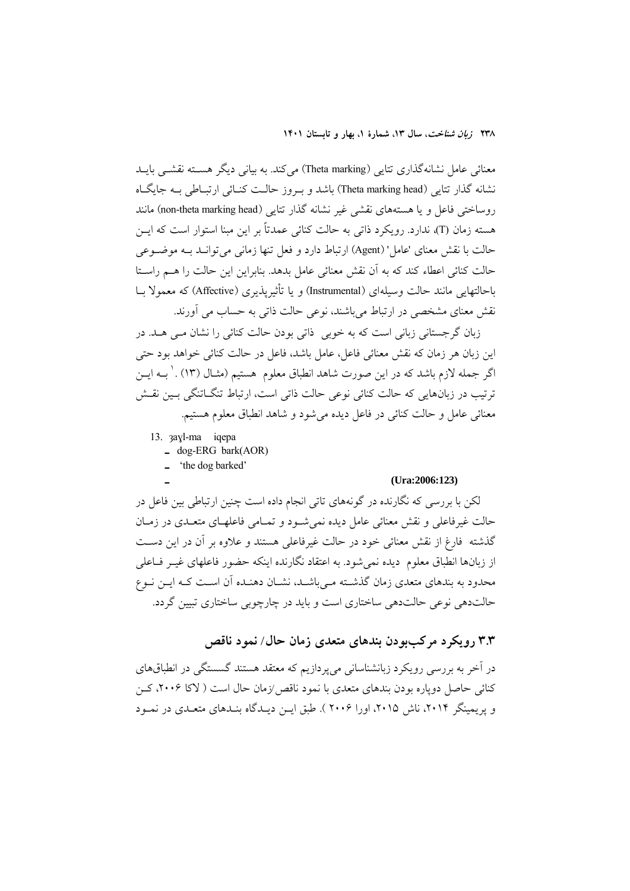معنائي عامل نشانهگذاري تتايي (Theta marking) ميكند. به بياني ديگر هسـته نقشـي بايـد نشانه گذار تتايي (Theta marking head) باشد و بـروز حالـت كنـائي ارتبـاطي بـه جايگـاه روساختي فاعل و يا هستههاي نقشي غير نشانه گذار تتايي (head marking theta-non (مانند هسته زمان (T)، ندارد. رويكرد ذاتي به حالت كنائي عمدتاً بر اين مبنا استوار است كه ايــن حالت با نقش معناي 'عامل' (Agent (ارتباط دارد و فعل تنها زماني ميتوانـد بـه موضـوعي حالت كنائي اعطاء كند كه به آن نقش معنائي عامل بدهد. بنابراين اين حالت را هـم راسـتا باحالتهايي مانند حالت وسيلهاي (Instrumental (و يا تأثيرپذيري (Affective (كه معمولا بـا نقش معناي مشخصي در ارتباط ميباشند، نوعي حالت ذاتي به حساب مي آورند.

زبان گرجستاني زباني است كه به خوبي ذاتي بودن حالت كنائي را نشان مـي هـد. در اين زبان هر زمان كه نقش معنائي فاعل، عامل باشد، فاعل در حالت كنائي خواهد بود حتي اگر جمله لازم باشد كه در اين صورت شاهد انطباق معلوم هستيم (مثـال (١٣) . ٰ بــه ايــن ترتيب در زبانهايي كه حالت كنائي نوعي حالت ذاتي است، ارتباط تنگـاتنگي بـين نقـش معنائي عامل و حالت كنائي در فاعل ديده ميشود و شاهد انطباق معلوم هستيم.

- 13. ȝaɣl-ma iqepa
	- **ـ** dog-ERG bark(AOR)
	- **ـ**' the dog barked'

#### (Ura:2006:123)

لكن با بررسي كه نگارنده در گونههاي تاتي انجام داده است چنين ارتباطي بين فاعل در حالت غيرفاعلي و نقش معنائي عامل ديده نميشـود و تمـامي فاعلهـاي متعـدي در زمـان گذشته فارغ از نقش معنائي خود در حالت غيرفاعلي هستند و علاوه بر آن در اين دسـت از زبانها انطباق معلوم ديده نميشود. به اعتقاد نگارنده اينكه حضور فاعلهاي غيـر فـاعلي محدود به بندهاي متعدي زمان گذشـته مـيباشـد، نشـان دهنـده آن اسـت كـه ايـن نـوع حالتدهي نوعي حالتدهي ساختاري است و بايد در چارچوبي ساختاري تبيين گردد.

# **3.3 رويكرد مركببودن بندهاي متعدي زمان حال/ نمود ناقص**

در آخر به بررسي رويكرد زبانشناساني ميپردازيم كه معتقد هستند گسستگي در انطباقهاي كنائي حاصل دوپاره بودن بندهاي متعدي با نمود ناقص/زمان حال است ( لاكا ،2006 كـن و پريمينگر ،2014 ناش ،2015 اورا 2006 ). طبق ايـن ديـدگاه بنـدهاي متعـدي در نمـود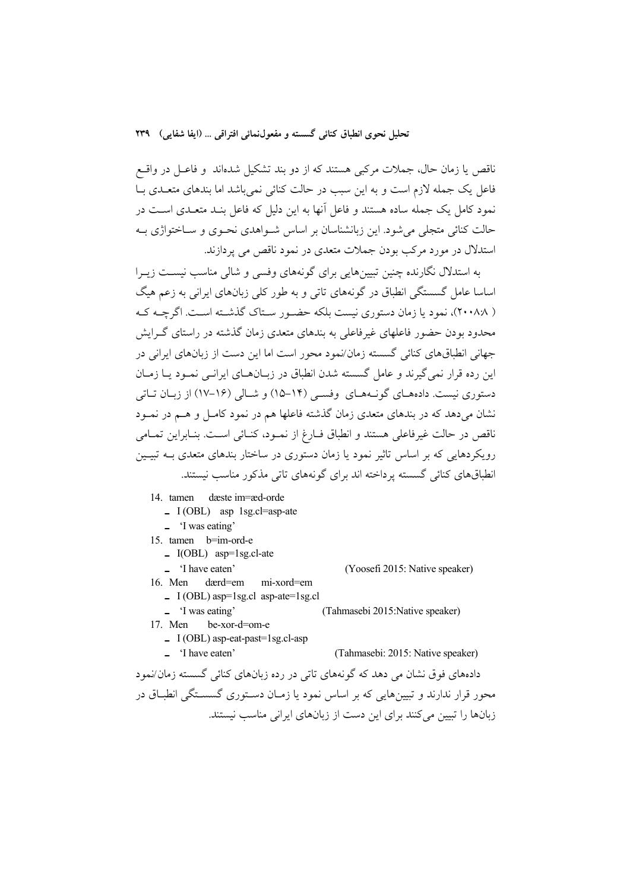ناقص يا زمان حال، جملات مركبي هستند كه از دو بند تشكيل شدهاند و فاعـل در واقـع فاعل يك جمله لازم است و به اين سبب در حالت كنائي نميباشد اما بندهاي متعـدي بـا نمود كامل يك جمله ساده هستند و فاعل آنها به اين دليل كه فاعل بنـد متعـدي اسـت در حالت كنائي متجلي ميشود. اين زبانشناسان بر اساس شـواهدي نحـوي و سـاختواژي بـه استدلال در مورد مركب بودن جملات متعدي در نمود ناقص مي پردازند.

به استدلال نگارنده چنين تبيينهايي براي گونههاي وفسي و شالي مناسب نيسـت زيـرا اساسا عامل گسستگي انطباق در گونههاي تاتي و به طور كلي زبانهاي ايراني به زعم هيگ ( 2008:8)، نمود يا زمان دستوري نيست بلكه حضـور سـتاك گذشـته اسـت. اگرچـه كـه محدود بودن حضور فاعلهاي غيرفاعلي به بندهاي متعدي زمان گذشته در راستاي گـرايش جهاني انطباقهاي كنائي گسسته زمان/نمود محور است اما اين دست از زبانهاي ايراني در اين رده قرار نميگيرند و عامل گسسته شدن انطباق در زبـانهـاي ايرانـي نمـود يـا زمـان دستوري نيست. دادههـاي گونـههـاي وفسـي ( 15-14) و شـالي (17-16) از زبـان تـاتي نشان ميدهد كه در بندهاي متعدي زمان گذشته فاعلها هم در نمود كامـل و هـم در نمـود ناقص در حالت غيرفاعلي هستند و انطباق فـارغ از نمـود، كنـائي اسـت. بنـابراين تمـامي رويكردهايي كه بر اساس تاثير نمود يا زمان دستوري در ساختار بندهاي متعدي بـه تبيـين انطباقهاي كنائي گسسته پرداخته اند براي گونههاي تاتي مذكور مناسب نيستند.

14. tamen dæste im=æd-orde

- **ـ** I (OBL) asp 1sg.cl=asp-ate
- **ـ**' I was eating'
- 15. tamen b=im-ord-e
	- **ـ** I(OBL) asp=1sg.cl-ate
	-

 $\blacksquare$  'I have eaten' (Yoosefi 2015: Native speaker)

16. Men dærd=em mi-xord=em

**ـ** I (OBL) asp=1sg.cl asp-ate=1sg.cl (Tahmasebi 2015:Native speaker)

- 17. Men be-xor-d=om-e
	- **ـ** I (OBL) asp-eat-past=1sg.cl-asp
	- **ـ**' I have eaten' (Tahmasebi: 2015: Native speaker)

دادههاي فوق نشان مي دهد كه گونههاي تاتي در رده زبانهاي كنائي گسسته زمان/نمود محور قرار ندارند و تبيينهايي كه بر اساس نمود يا زمـان دسـتوري گسسـتگي انطبـاق در زبانها را تبيين ميكنند براي اين دست از زبانهاي ايراني مناسب نيستند.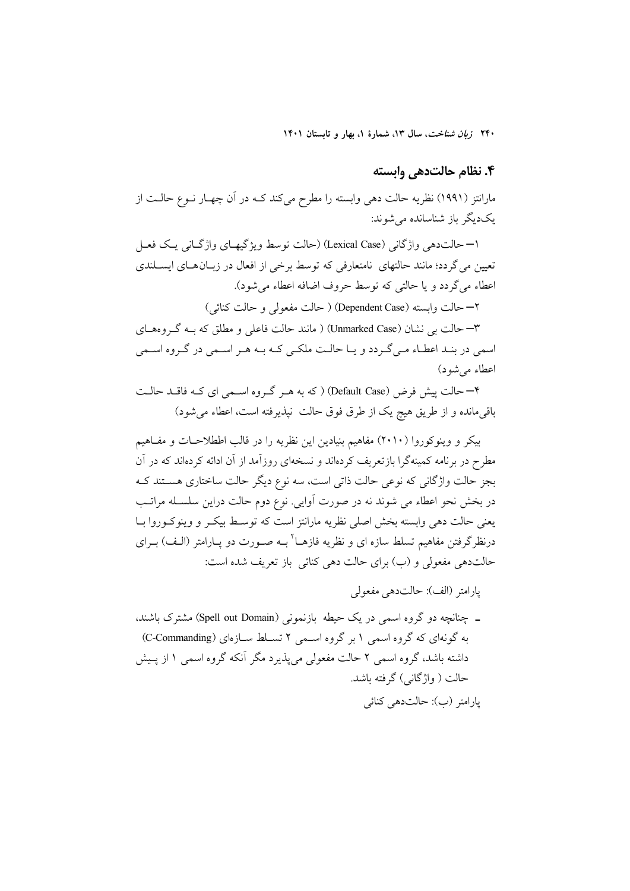### **.4 نظام حالتدهي وابسته**

مارانتز (1991) نظريه حالت دهي وابسته را مطرح ميكند كـه در آن چهـار نـوع حالـت از يكديگر باز شناسانده ميشوند:

1– حالتدهي واژگاني (Case Lexical) (حالت توسط ويژگيهـاي واژگـاني يـك فعـل تعيين ميگردد؛ مانند حالتهاي نامتعارفي كه توسط برخي از افعال در زبـانهـاي ايسـلندي اعطاء ميگردد و يا حالتي كه توسط حروف اضافه اعطاء ميشود).

2– حالت وابسته (Case Dependent ) (حالت مفعولي و حالت كنائي)

3– حالت بي نشان (Case Unmarked ) (مانند حالت فاعلي و مطلق كه بـه گـروههـاي اسمي در بنـد اعطـاء مـيگـردد و يـا حالـت ملكـي كـه بـه هـر اسـمي در گـروه اسـمي اعطاء ميشود)

4– حالت پيش فرض (Case Default ) (كه به هـر گـروه اسـمي اي كـه فاقـد حالـت باقيمانده و از طريق هيچ يك از طرق فوق حالت نپذيرفته است، اعطاء ميشود)

بيكر و وينوكوروا (2010) مفاهيم بنيادين اين نظريه را در قالب اططلاحـات و مفـاهيم مطرح در برنامه كمينهگرا بازتعريف كردهاند و نسخهاي روزآمد از آن ادائه كردهاند كه در آن بجز حالت واژگاني كه نوعي حالت ذاتي است، سه نوع ديگر حالت ساختاري هسـتند كـه در بخش نحو اعطاء مي شوند نه در صورت آوايي. نوع دوم حالت دراين سلسـله مراتـب يعني حالت دهي وابسته بخش اصلي نظريه مارانتز است كه توسـط بيكـر و وينوكـوروا بـا درنظر گرفتن مفاهيم تسلط سازه اي و نظريه فازهــا<sup>۲</sup> بــه صــورت دو يــارامتر (الـف) بــراي حالتدهي مفعولي و (ب) براي حالت دهي كنائي باز تعريف شده است:

پارامتر (الف): حالتدهي مفعولي

**ـ** چنانچه دو گروه اسمي در يك حيطه بازنموني (Domain out Spell (مشترك باشند، به گونهاي كه گروه اسمي ١ بر گروه اسـمي ٢ تسـلط سـازهاي (C-Commanding) داشته باشد، گروه اسمي 2 حالت مفعولي ميپذيرد مگر آنكه گروه اسمي 1 از پـيش حالت ( واژگاني) گرفته باشد. پارامتر (ب): حالتدهي كنائي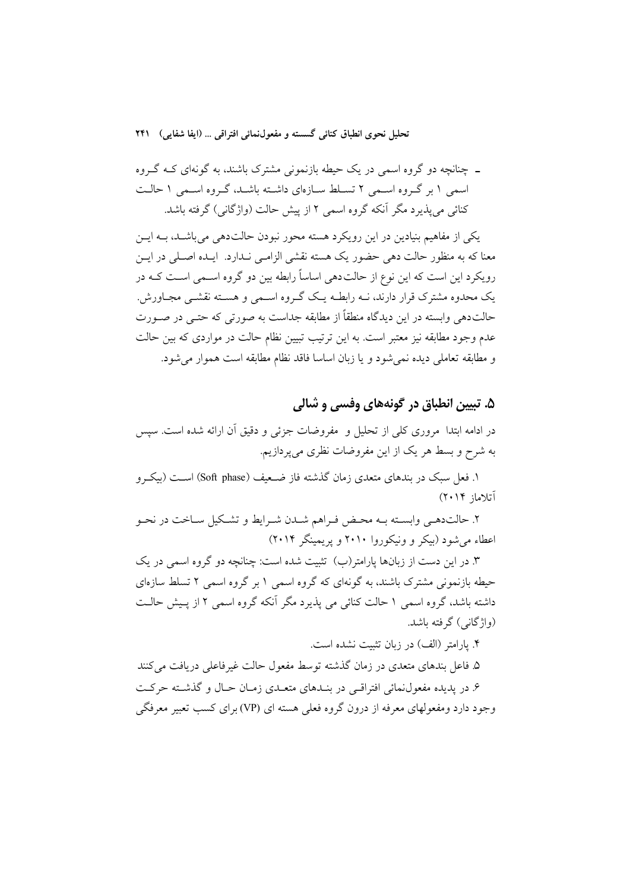**ـ** چنانچه دو گروه اسمي در يك حيطه بازنموني مشترك باشند، به گونهاي كـه گـروه اسمي 1 بر گـروه اسـمي 2 تسـلط سـازهاي داشـته باشـد، گـروه اسـمي 1 حالـت كنائي ميپذيرد مگر آنكه گروه اسمي 2 از پيش حالت (واژگاني) گرفته باشد.

يكي از مفاهيم بنيادين در اين رويكرد هسته محور نبودن حالتدهي ميباشـد، بـه ايـن معنا كه به منظور حالت دهي حضور يك هسته نقشي الزامـي نـدارد. ايـده اصـلي در ايـن رويكرد اين است كه اين نوع از حالتدهي اساساً رابطه بين دو گروه اسـمي اسـت كـه در يك محدوه مشترك قرار دارند، نـه رابطـه يـك گـروه اسـمي و هسـته نقشـي مجـاورش. حالتدهي وابسته در اين ديدگاه منطقاً از مطابقه جداست به صورتي كه حتـي در صـورت عدم وجود مطابقه نيز معتبر است. به اين ترتيب تبيين نظام حالت در مواردي كه بين حالت و مطابقه تعاملي ديده نميشود و يا زبان اساسا فاقد نظام مطابقه است هموار ميشود.

# **.5 تبيين انطباق در گونههاي وفسي و شالي**

در ادامه ابتدا مروري كلي از تحليل و مفروضات جزئي و دقيق آن ارائه شده است. سپس به شرح و بسط هر يك از اين مفروضات نظري ميپردازيم.

۱. فعل سبک در بندهاي متعدي زمان گذشته فاز ضـعيف (Soft phase) اسـت (بيكـرو آتلاماز 2014)

.2 حالتدهـي وابسـته بـه محـض فـراهم شـدن شـرايط و تشـكيل سـاخت در نحـو اعطاء ميشود (بيكر و ونيكوروا 2010 و پريمينگر 2014)

.3 در اين دست از زبانها پارامتر(ب) تثبيت شده است: چنانچه دو گروه اسمي در يك حيطه بازنموني مشترك باشند، به گونهاي كه گروه اسمي 1 بر گروه اسمي 2 تسلط سازهاي داشته باشد، گروه اسمي 1 حالت كنائي مي پذيرد مگر آنكه گروه اسمي 2 از پـيش حالـت (واژگاني) گرفته باشد.

.4 پارامتر (الف) در زبان تثبيت نشده است.

.5 فاعل بندهاي متعدي در زمان گذشته توسط مفعول حالت غيرفاعلي دريافت ميكنند .6 در پديده مفعولنمائي افتراقـي در بنـدهاي متعـدي زمـان حـال و گذشـته حركـت وجود دارد ومفعولهاي معرفه از درون گروه فعلي هسته اي (VP (براي كسب تعبير معرفگي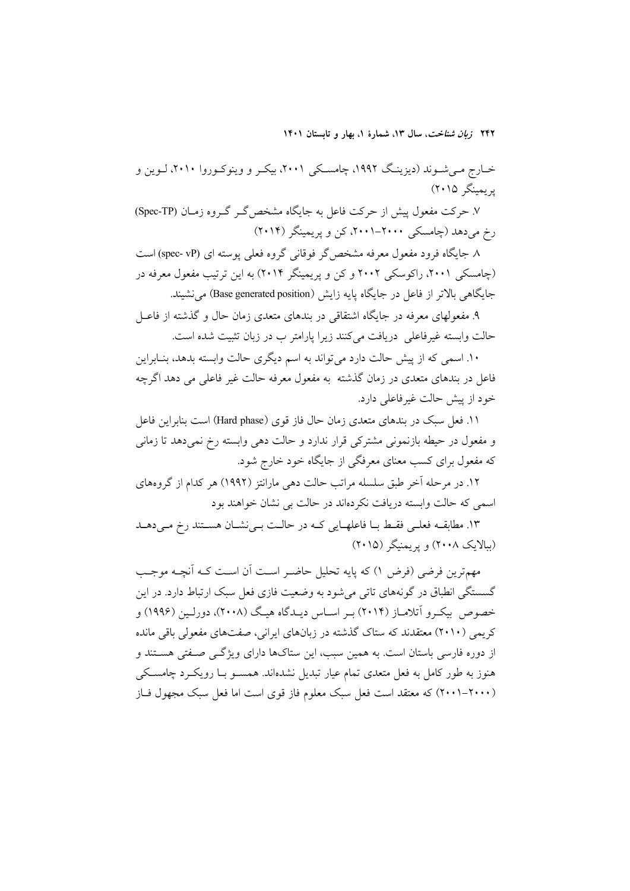خـارج مـيشـوند (ديزينـگ ،1992 چامسـكي ،2001 بيكـر و وينوكـوروا ،2010 لـوين و پريمينگر 2015)

.7 حركت مفعول پيش از حركت فاعل به جايگاه مشخصگـر گـروه زمـان (TP-Spec( رخ ميدهد (چامسكي ،2001-2000 كن و پريمينگر (2014)

.8 جايگاه فرود مفعول معرفه مشخصگر فوقاني گروه فعلي پوسته اي (vP -spec (است (چامسكي ۲۰۰۱، راكوسكي ۲۰۰۲ و كن و پريمينگر ۲۰۱۴) به اين ترتيب مفعول معرفه در جايگاهي بالاتر از فاعل در جايگاه پايه زايش (Base generated position) مي نشيند.

.9 مفعولهاي معرفه در جايگاه اشتقاقي در بندهاي متعدي زمان حال و گذشته از فاعـل حالت وابسته غيرفاعلي دريافت ميكنند زيرا پارامتر ب در زبان تثبيت شده است.

.10 اسمي كه از پيش حالت دارد ميتواند به اسم ديگري حالت وابسته بدهد، بنـابراين فاعل در بندهاي متعدي در زمان گذشته به مفعول معرفه حالت غير فاعلي مي دهد اگرچه خود از پيش حالت غيرفاعلي دارد.

.11 فعل سبك در بندهاي متعدي زمان حال فاز قوي (phase Hard (است بنابراين فاعل و مفعول در حيطه بازنموني مشتركي قرار ندارد و حالت دهي وابسته رخ نميدهد تا زماني كه مفعول براي كسب معناي معرفگي از جايگاه خود خارج شود.

.12 در مرحله آخر طبق سلسله مراتب حالت دهي مارانتز (1992) هر كدام از گروههاي اسمي كه حالت وابسته دريافت نكردهاند در حالت بي نشان خواهند بود

.13 مطابقـه فعلـي فقـط بـا فاعلهـايي كـه در حالـت بـينشـان هسـتند رخ مـيدهـد (ببالايك 2008) و پريمنيگر (2015)

مهمترين فرضي (فرض 1) كه پايه تحليل حاضـر اسـت آن اسـت كـه آنچـه موجـب گسستگي انطباق در گونههاي تاتي ميشود به وضعيت فازي فعل سبك ارتباط دارد. در اين خصوص بيكـرو آتلامـاز ( 2014) بـر اسـاس ديـدگاه هيـگ (2008)، دورلـين ( 1996) و كريمي (2010) معتقدند كه ستاك گذشته در زبانهاي ايراني، صفتهاي مفعولي باقي مانده از دوره فارسي باستان است. به همين سبب، اين ستاكها داراي ويژگـي صـفتي هسـتند و هنوز به طور كامل به فعل متعدي تمام عيار تبديل نشدهاند. همسـو بـا رويكـرد چامسـكي (2001-2000) كه معتقد است فعل سبك معلوم فاز قوي است اما فعل سبك مجهول فـاز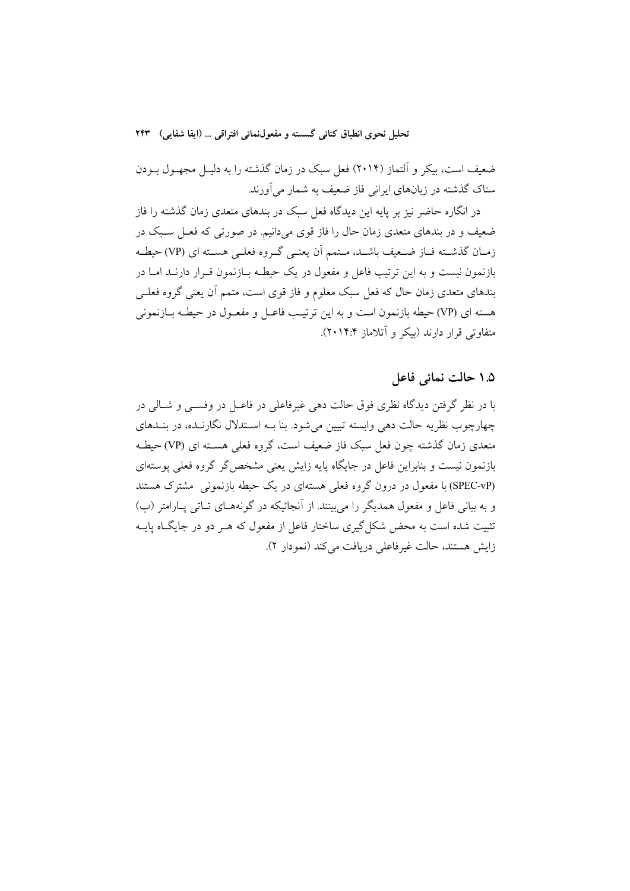ضعيف است، بيكر و آلتماز (2014) فعل سبك در زمان گذشته را به دليـل مجهـول بـودن ستاك گذشته در زبانهاي ايراني فاز ضعيف به شمار ميآورند.

در انگاره حاضر نيز بر پايه اين ديدگاه فعل سبك در بندهاي متعدي زمان گذشته را فاز ضعيف و در بندهاي متعدي زمان حال را فاز قوي ميدانيم. در صورتي كه فعـل سـبك در زمـان گذشـته فـاز ضـعيف باشـد، مـتمم آن يعنـي گـروه فعلـي هسـته اي (VP (حيطـه بازنمون نيست و به اين ترتيب فاعل و مفعول در يك حيطـه بـازنمون قـرار دارنـد امـا در بندهاي متعدي زمان حال كه فعل سبك معلوم و فاز قوي است، متمم آن يعني گروه فعلـي هسته اي (VP (حيطه بازنمون است و به اين ترتيـب فاعـل و مفعـول در حيطـه بـازنموني متفاوتي قرار دارند (بيكر و آتلاماز 2014:4).

**1.5 حالت نمائي فاعل** 

با در نظر گرفتن ديدگاه نظري فوق حالت دهي غيرفاعلي در فاعـل در وفسـي و شـالي در چهارچوب نظريه حالت دهي وابسته تبيين ميشود. بنا بـه اسـتدلال نگارنـده، در بنـدهاي متعدي زمان گذشته چون فعل سبك فاز ضعيف است، گروه فعلي هسـته اي (VP (حيطـه بازنمون نيست و بنابراين فاعل در جايگاه پايه زايش يعني مشخصگر گروه فعلي پوستهاي (vP-SPEC (با مفعول در درون گروه فعلي هستهاي در يك حيطه بازنموني مشترك هستند و به بياني فاعل و مفعول همديگر را ميبينند. از آنجائيكه در گونههـاي تـاتي پـارامتر (ب) تثبيت شده است به محض شكلگيري ساختار فاعل از مفعول كه هـر دو در جايگـاه پايـه زايش هستند، حالت غيرفاعلي دريافت ميكند (نمودار 2).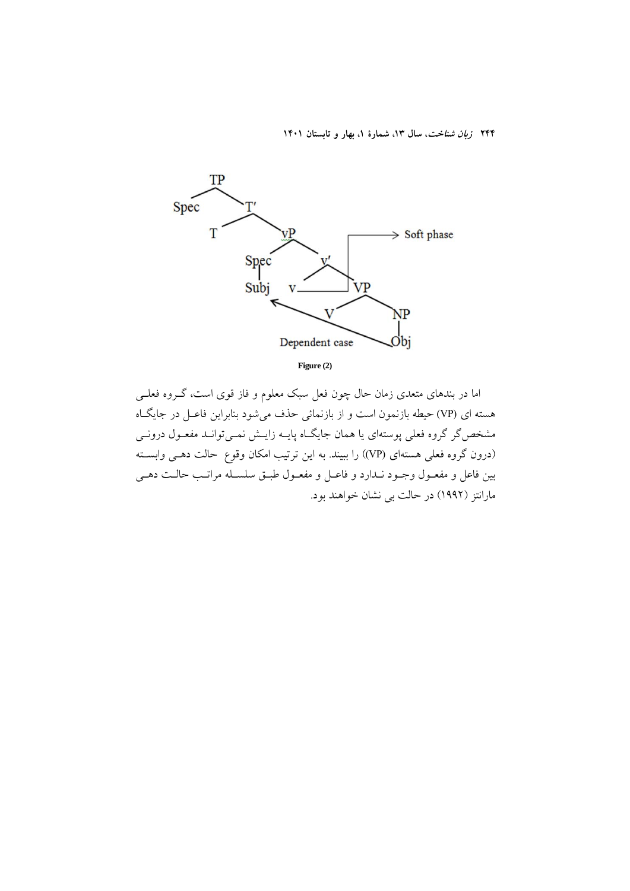

**Figure (2)**

اما در بندهاي متعدي زمان حال چون فعل سبك معلوم و فاز قوي است، گـروه فعلـي هسته ای (VP) حيطه بازنمون است و از بازنمائي حذف مي شود بنابراين فاعـل در جايگــاه مشخصگر گروه فعلي پوستهاي يا همان جايگـاه پايـه زايـش نمـيتوانـد مفعـول درونـي (درون گروه فعلي هستهاي (VP)) را ببيند. به اين ترتيب امكان وقوع حالت دهـي وابسـته بين فاعل و مفعـول وجـود نـدارد و فاعـل و مفعـول طبـق سلسـله مراتـب حالـت دهـي مارانتز (1992) در حالت بي نشان خواهند بود.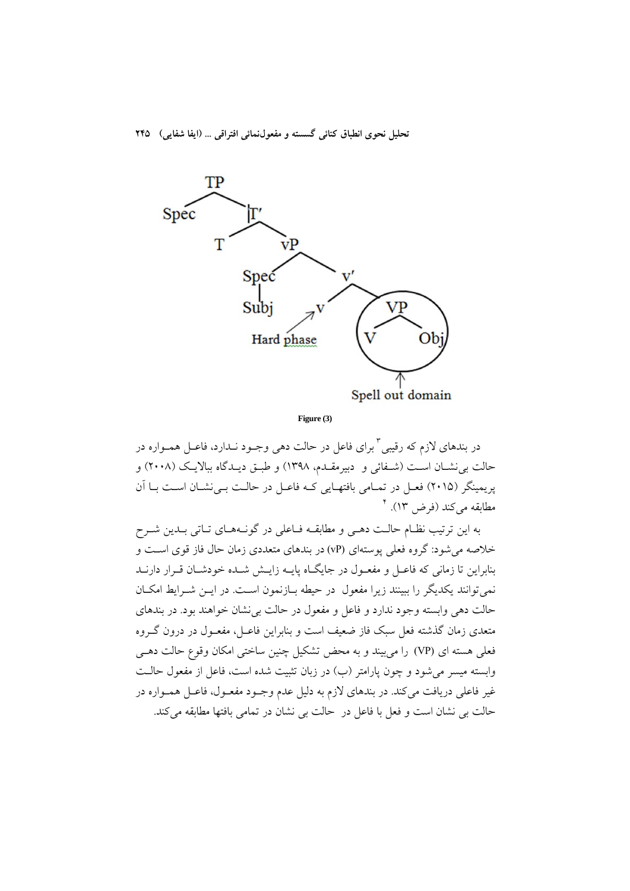

 **Figure (3)**

در بندهاي لازم كه رقيبي " براي فاعل در حالت دهي وجـود نـدارد، فاعـل همـواره در حالت بينشـان اسـت (شـفائي و دبيرمقـدم، 1398) و طبـق ديـدگاه ببالايـك ( 2008) و پريمينگر (2015) فعـل در تمـامي بافتهـايي كـه فاعـل در حالـت بـينشـان اسـت بـا آن <sup>4</sup> مطابقه ميكند (فرض 13).

به اين ترتيب نظـام حالـت دهـي و مطابقـه فـاعلي در گونـههـاي تـاتي بـدين شـرح خلاصه ميشود: گروه فعلي پوستهاي (vP (در بندهاي متعددي زمان حال فاز قوي اسـت و بنابراين تا زماني كه فاعـل و مفعـول در جايگـاه پايـه زايـش شـده خودشـان قـرار دارنـد نميتوانند يكديگر را ببينند زيرا مفعول در حيطه بـازنمون اسـت. در ايـن شـرايط امكـان حالت دهي وابسته وجود ندارد و فاعل و مفعول در حالت بينشان خواهند بود. در بندهاي متعدي زمان گذشته فعل سبك فاز ضعيف است و بنابراين فاعـل، مفعـول در درون گـروه فعلي هسته اي (VP) را مي بيند و به محض تشكيل چنين ساختي امكان وقوع حالت دهـي وابسته ميسر ميشود و چون پارامتر (ب) در زبان تثبيت شده است، فاعل از مفعول حالـت غير فاعلي دريافت ميكند. در بندهاي لازم به دليل عدم وجـود مفعـول، فاعـل همـواره در حالت بي نشان است و فعل با فاعل در حالت بي نشان در تمامي بافتها مطابقه ميكند.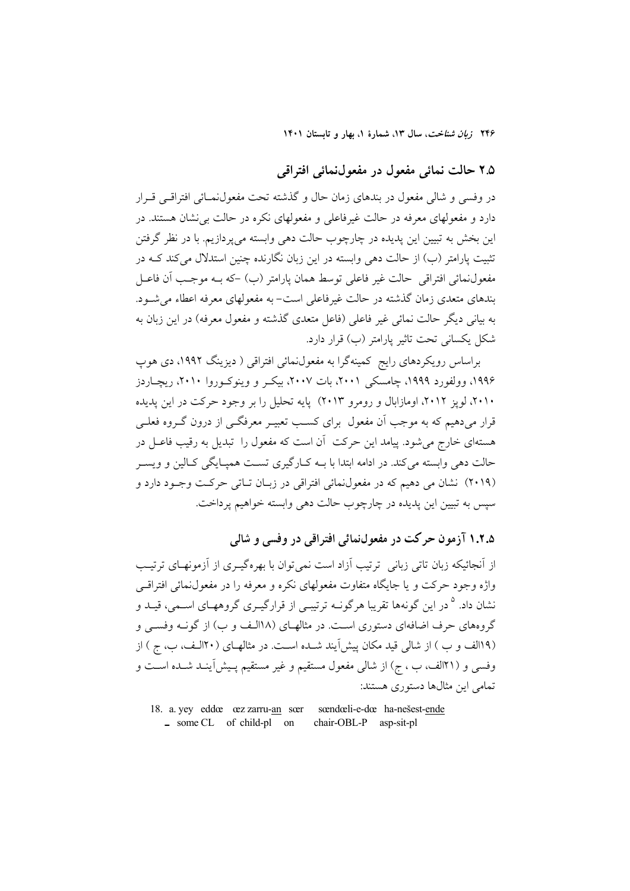# **2.5 حالت نمائي مفعول در مفعولنمائي افتراقي**

در وفسي و شالي مفعول در بندهاي زمان حال و گذشته تحت مفعولنمـائي افتراقـي قـرار دارد و مفعولهاي معرفه در حالت غيرفاعلي و مفعولهاي نكره در حالت بينشان هستند. در اين بخش به تبيين اين پديده در چارچوب حالت دهي وابسته ميپردازيم. با در نظر گرفتن تثبيت پارامتر (ب) از حالت دهي وابسته در اين زبان نگارنده چنين استدلال ميكند كـه در مفعولنمائي افتراقي حالت غير فاعلي توسط همان پارامتر (ب) -كه بـه موجـب آن فاعـل بندهاي متعدي زمان گذشته در حالت غيرفاعلي است- به مفعولهاي معرفه اعطاء ميشـود. به بياني ديگر حالت نمائي غير فاعلي (فاعل متعدي گذشته و مفعول معرفه) در اين زبان به شكل يكساني تحت تاثير پارامتر (ب) قرار دارد.

براساس رويكردهاي رايج كمينهگرا به مفعولنمائي افتراقي ( ديزينگ ،1992 دي هوپ ،1996 وولفورد ،1999 چامسكي ،2001 بات ،2007 بيكـر و وينوكـوروا ،2010 ريچـاردز ،2010 لوپز ،2012 اومازابال و رومرو 2013) پايه تحليل را بر وجود حركت در اين پديده قرار ميدهيم كه به موجب آن مفعول براي كسـب تعبيـر معرفگـي از درون گـروه فعلـي هستهاي خارج ميشود. پيامد اين حركت آن است كه مفعول را تبديل به رقيب فاعـل در حالت دهي وابسته ميكند. در ادامه ابتدا با بـه كـارگيري تسـت همپـايگي كـالين و ويسـر (2019) نشان مي دهيم كه در مفعولنمائي افتراقي در زبـان تـاتي حركـت وجـود دارد و سپس به تبيين اين پديده در چارچوب حالت دهي وابسته خواهيم پرداخت.

**1.2.5 آزمون حركت در مفعولنمائي افتراقي در وفسي و شالي** 

از آنجائيكه زبان تاتي زباني ترتيب آزاد است نميتوان با بهرهگيـري از آزمونهـاي ترتيـب واژه وجود حركت و يا جايگاه متفاوت مفعولهاي نكره و معرفه را در مفعولنمائي افتراقـي نشان داد. <sup>۵</sup> در اين گونهها تقريبا هرگونــه ترتيبــي از قرارگيــرى گروههــاى اســمى، قيــد و گروههاي حرف اضافهاي دستوري اسـت. در مثالهـاي ( 18الـف و ب) از گونـه وفسـي و (19الف و ب ) از شالي قيد مكان پيشآيند شـده اسـت. در مثالهـاي ( 20الـف، ب، ج ) از وفسي و (21الف، ب ، ج) از شالي مفعول مستقيم و غير مستقيم پـيشآينـد شـده اسـت و تمامي اين مثالها دستوري هستند:

18. a. yey eddœ œz zarru-an sœr sœndœli-e-dœ ha-nešest-ende **ـ** some CL of child-pl on chair-OBL-P asp-sit-pl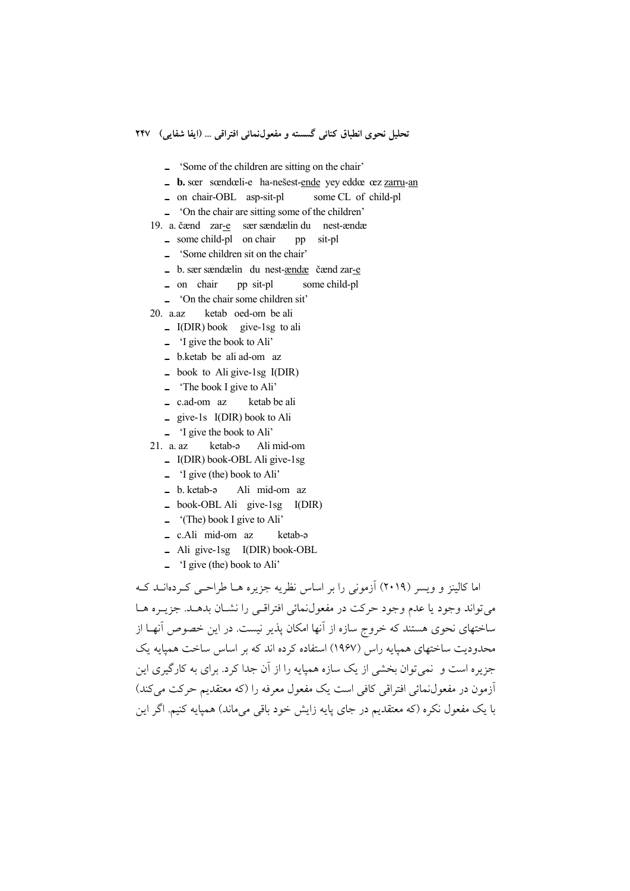- **ـ**' Some of the children are sitting on the chair'
- **ـ b.** sœr sœndœli-e ha-nešest-ende yey eddœ œz zarru-an
- **ـ** on chair-OBL asp-sit-pl some CL of child-pl
- **ـ**' On the chair are sitting some of the children'
- 19. a. čænd zar-e sær sændælin du nest-ændæ
	- *•* some child-pl on chair pp sit-pl
	- **ـ**' Some children sit on the chair'
	- **ـ** b. sær sændælin du nest-ændæ čænd zar-e
	- **ـ** on chair pp sit-pl some child-pl
	- **ـ**' On the chair some children sit'
- 20. a.az ketab oed-om be ali
	- **ـ** I(DIR) book give-1sg to ali
	- **ـ**' I give the book to Ali'
	- **ـ** b.ketab be ali ad-om az
	- **ـ** book to Ali give-1sg I(DIR)
	- **ـ**' The book I give to Ali'
	- **ـ** c.ad-om az ketab be ali
	- **ـ** give-1s I(DIR) book to Ali
	- **-** 'I give the book to Ali'<br>a. az ketab-a Ali
- 21. a. az ketab-ə Ali mid-om
	- **ـ** I(DIR) book-OBL Ali give-1sg
	- **ـ**' I give (the) book to Ali'
	- **ـ** b. ketab-ə Ali mid-om az
	- **ـ** book-OBL Ali give-1sg I(DIR)
	- **ـ**)' The) book I give to Ali'
	- **ـ** c.Ali mid-om az ketab-ə
	- **ـ** Ali give-1sg I(DIR) book-OBL
	- **ـ**' I give (the) book to Ali'

اما كالينز و ويسر (2019) آزموني را بر اساس نظريه جزيره هـا طراحـي كـردهانـد كـه ميتواند وجود يا عدم وجود حركت در مفعولنمائي افتراقـي را نشـان بدهـد. جزيـره هـا ساختهاي نحوي هستند كه خروج سازه از آنها امكان پذير نيست. در اين خصوص آنهـا از محدوديت ساختهاي همپايه راس (1967) استفاده كرده اند كه بر اساس ساخت همپايه يك جزيره است و نميتوان بخشي از يك سازه همپايه را از آن جدا كرد. براي به كارگيري اين آزمون در مفعولنمائي افتراقي كافي است يك مفعول معرفه را (كه معتقديم حركت ميكند) با يك مفعول نكره (كه معتقديم در جاي پايه زايش خود باقي ميماند) همپايه كنيم. اگر اين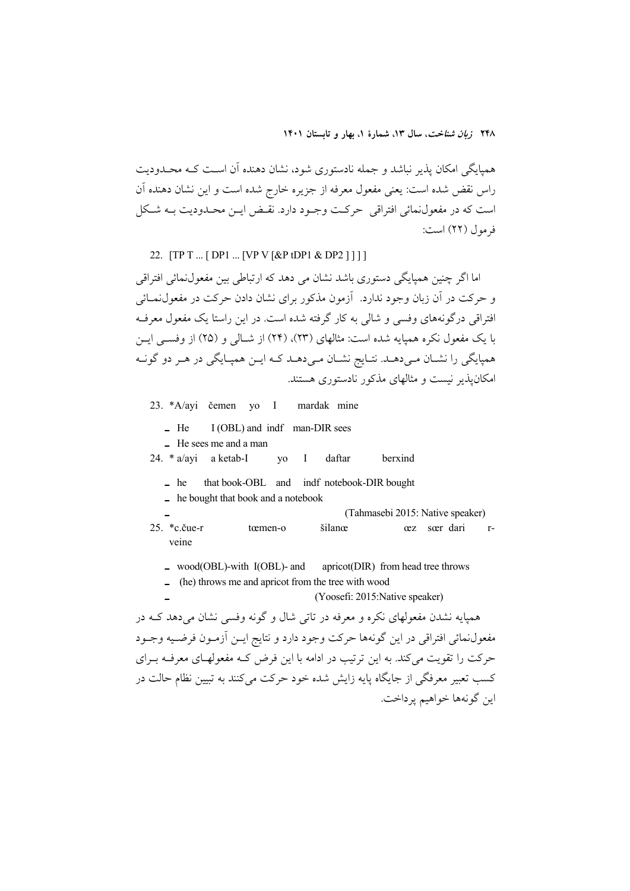همپايگي امكان پذير نباشد و جمله نادستوري شود، نشان دهنده آن اسـت كـه محـدوديت راس نقض شده است: يعني مفعول معرفه از جزيره خارج شده است و اين نشان دهنده آن است كه در مفعولنمائي افتراقي حركـت وجـود دارد. نقـض ايـن محـدوديت بـه شـكل فرمول (22) است:

### 22. **[TP T ... [ DP1 ... [VP V [ &P tDP1 & DP2 ] ] ] ]**

اما اگر چنين همپايگي دستوري باشد نشان مي دهد كه ارتباطي بين مفعولنمائي افتراقي و حركت در آن زبان وجود ندارد. آزمون مذكور براي نشان دادن حركت در مفعولنمـائي افتراقي درگونههاي وفسي و شالي به كار گرفته شده است. در اين راستا يك مفعول معرفـه با يك مفعول نكره همپايه شده است: مثالهاي (23)، (24) از شـالي و ( 25) از وفسـي ايـن همپايگي را نشـان مـيدهـد. نتـايج نشـان مـيدهـد كـه ايـن همپـايگي در هـر دو گونـه امكانپذير نيست و مثالهاي مذكور نادستوري هستند.

23. \*A/ayi čemen yo I mardak mine

- **ـ** He I (OBL) and indf man-DIR sees
- **ـ** He sees me and a man
- 24. \* a/ayi a ketab-I yo I daftar berxind
	- **ـ** he that book-OBL and indf notebook-DIR bought
	- **ـ** he bought that book and a notebook

**ـ**) Tahmasebi 2015: Native speaker)

- 25. \*c.čue-r tœmen-o šilanœœz sœr darirveine
	- **ـ** wood(OBL)-with I(OBL)- and apricot(DIR) from head tree throws
	- $-$  (he) throws me and apricot from the tree with wood
	- **ـ**) Yoosefi: 2015:Native speaker)

همپايه نشدن مفعولهاي نكره و معرفه در تاتي شال و گونه وفسي نشان ميدهد كـه در مفعولنمائي افتراقي در اين گونهها حركت وجود دارد و نتايج ايـن آزمـون فرضـيه وجـود حركت را تقويت ميكند. به اين ترتيب در ادامه با اين فرض كـه مفعولهـاي معرفـه بـراي كسب تعبير معرفگي از جايگاه پايه زايش شده خود حركت ميكنند به تبيين نظام حالت در اين گونهها خواهيم پرداخت.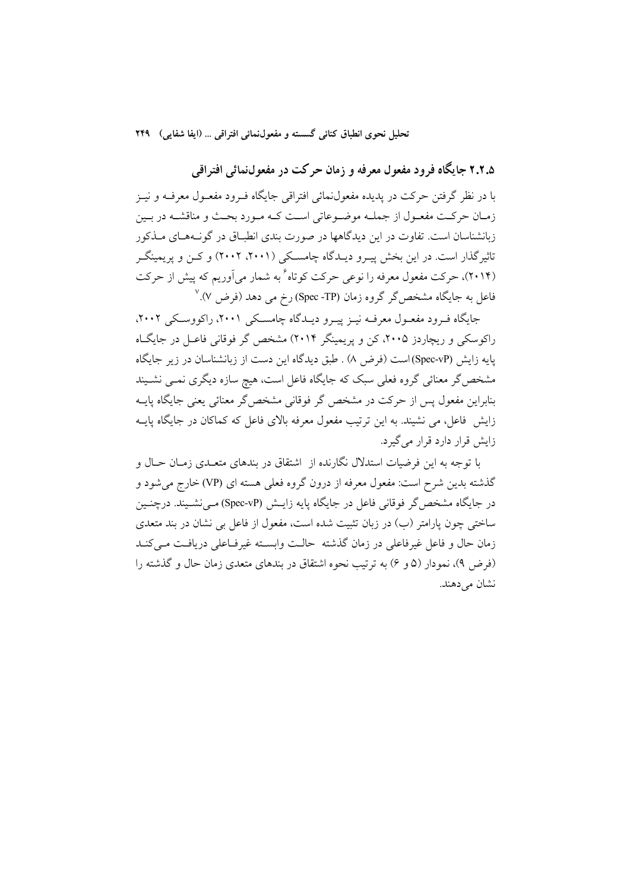**2.2.5 جايگاه فرود مفعول معرفه و زمان حركت در مفعولنمائي افتراقي** 

با در نظر گرفتن حركت در پديده مفعولنمائي افتراقي جايگاه فـرود مفعـول معرفـه و نيـز زمـان حركـت مفعـول از جملـه موضـوعاتي اسـت كـه مـورد بحـث و مناقشـه در بـين زبانشناسان است. تفاوت در اين ديدگاهها در صورت بندي انطبـاق در گونـههـاي مـذكور تاثيرگذار است. در اين بخش پيـرو ديـدگاه چامسـكي ( ،2001 2002) و كـن و پريمينگـر (۲۰۱۴)، حركت مفعول معرفه را نوعي حركت كوتاه <sup>۶</sup> به شمار ميآوريم كه پيش از حركت <sup>7</sup> فاعل به جايگاه مشخصگر گروه زمان (TP- Spec (رخ مي دهد (فرض 7).

جايگاه فـرود مفعـول معرفـه نيـز پيـرو ديـدگاه چامسـكي ،2001 راكووسـكي ،2002 راكوسكي و ريچاردز ،2005 كن و پريمينگر 2014) مشخص گر فوقاني فاعـل در جايگـاه پايه زايش (vP-Spec (است (فرض 8) . طبق ديدگاه اين دست از زبانشناسان در زير جايگاه مشخصگر معنائي گروه فعلي سبك كه جايگاه فاعل است، هيچ سازه ديگري نمـي نشـيند بنابراين مفعول پس از حركت در مشخص گر فوقاني مشخصگر معنائي يعني جايگاه پايـه زايش فاعل، مي نشيند. به اين ترتيب مفعول معرفه بالاي فاعل كه كماكان در جايگاه پايـه زايش قرار دارد قرار ميگيرد.

با توجه به اين فرضيات استدلال نگارنده از اشتقاق در بندهاي متعـدي زمـان حـال و گذشته بدين شرح است: مفعول معرفه از درون گروه فعلي هسته اي (VP (خارج ميشود و در جايگاه مشخصگر فوقاني فاعل در جايگاه پايه زايـش (vP-Spec (مـينشـيند. درچنـين ساختي چون پارامتر (ب) در زبان تثبيت شده است، مفعول از فاعل بي نشان در بند متعدي زمان حال و فاعل غيرفاعلي در زمان گذشته حالـت وابسـته غيرفـاعلي دريافـت مـيكنـد (فرض 9)، نمودار (5 و 6) به ترتيب نحوه اشتقاق در بندهاي متعدي زمان حال و گذشته را نشان مي دهند.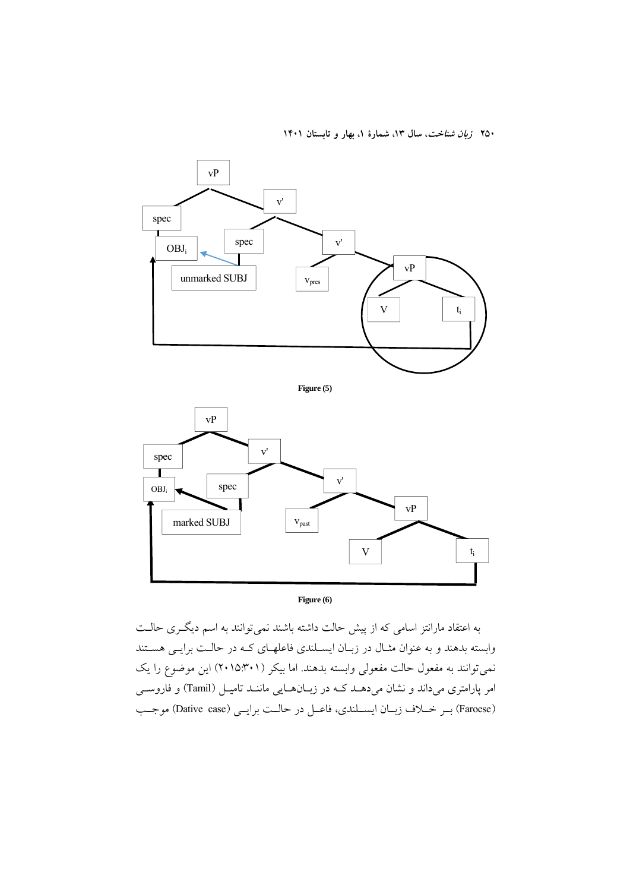

**Figure (6)** 

به اعتقاد مارانتز اسامي كه از پيش حالت داشته باشند نميتوانند به اسم ديگـري حالـت وابسته بدهند و به عنوان مثـال در زبـان ايسـلندي فاعلهـاي كـه در حالـت برايـي هسـتند نميتوانند به مفعول حالت مفعولي وابسته بدهند. اما بيكر (2015:301) اين موضوع را يك امر پارامتري مي داند و نشان مي دهـد كـه در زبـانهـايي ماننـد تاميـل (Tamil) و فاروسـي (Faroese) بـر خـلاف زبـان ايســلندي، فاعـل در حالـت برايـي (Dative case) موجـب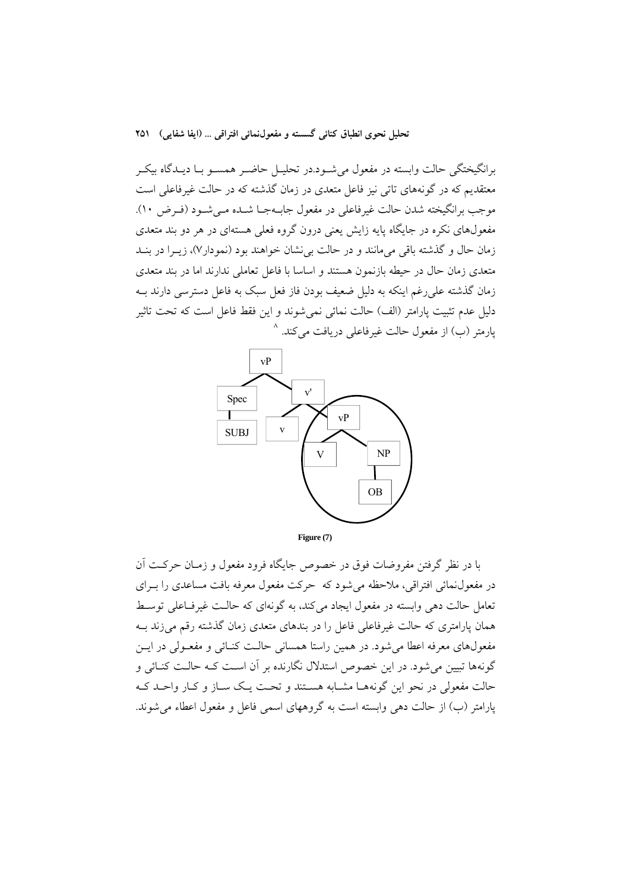برانگيختگي حالت وابسته در مفعول ميشـود.در تحليـل حاضـر همسـو بـا ديـدگاه بيكـر معتقديم كه در گونههاي تاتي نيز فاعل متعدي در زمان گذشته كه در حالت غيرفاعلي است موجب برانگيخته شدن حالت غيرفاعلي در مفعول جابـهجـا شـده مـيشـود (فـرض 10). مفعولهاي نكره در جايگاه پايه زايش يعني درون گروه فعلي هستهاي در هر دو بند متعدي زمان حال و گذشته باقي ميمانند و در حالت بينشان خواهند بود (نمودار7)، زيـرا در بنـد متعدي زمان حال در حيطه بازنمون هستند و اساسا با فاعل تعاملي ندارند اما در بند متعدي زمان گذشته عليرغم اينكه به دليل ضعيف بودن فاز فعل سبك به فاعل دسترسي دارند بـه دليل عدم تثبيت پارامتر (الف) حالت نمائي نميشوند و اين فقط فاعل است كه تحت تاثير پارمتر (ب) از مفعول حالت غيرفاعلي دريافت ميكند. <sup>^</sup>



با در نظر گرفتن مفروضات فوق در خصوص جايگاه فرود مفعول و زمـان حركـت آن در مفعولنمائي افتراقي، ملاحظه ميشود كه حركت مفعول معرفه بافت مساعدي را بـراي تعامل حالت دهي وابسته در مفعول ايجاد ميكند، به گونهاي كه حالـت غيرفـاعلي توسـط همان پارامتري كه حالت غيرفاعلي فاعل را در بندهاي متعدي زمان گذشته رقم ميزند بـه مفعولهاي معرفه اعطا ميشود. در همين راستا همساني حالـت كنـائي و مفعـولي در ايـن گونهها تبيين ميشود. در اين خصوص استدلال نگارنده بر آن اسـت كـه حالـت كنـائي و حالت مفعولي در نحو اين گونههـا مشـابه هسـتند و تحـت يـك سـاز و كـار واحـد كـه پارامتر (ب) از حالت دهي وابسته است به گروههاي اسمي فاعل و مفعول اعطاء ميشوند.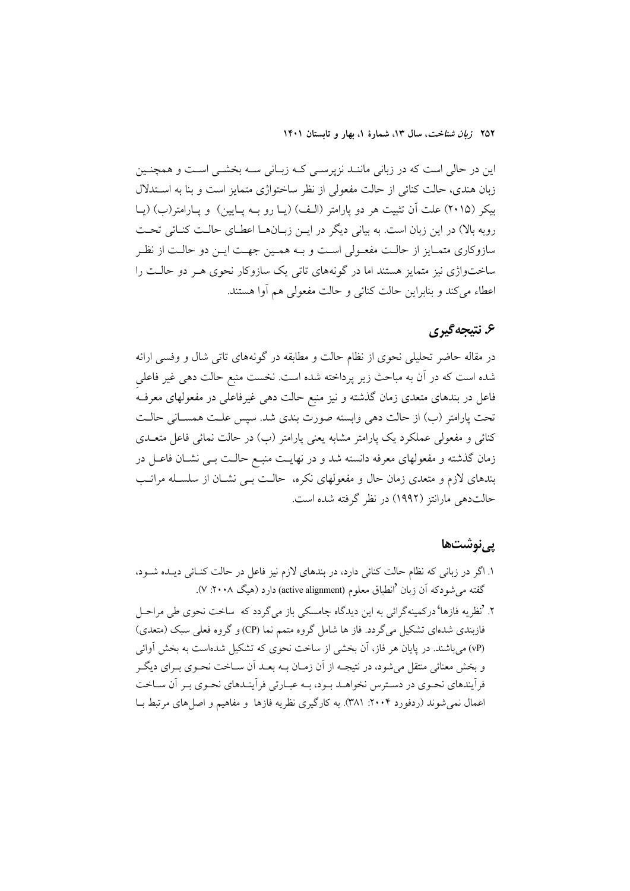اين در حالي است كه در زباني ماننـد نزپرسـي كـه زبـاني سـه بخشـي اسـت و همچنـين زبان هندي، حالت كنائي از حالت مفعولي از نظر ساختواژي متمايز است و بنا به اسـتدلال بيكر (2015) علت آن تثبيت هر دو پارامتر (الـف) (يـا رو بـه پـايين) و پـارامتر(ب) (يـا روبه بالا) در اين زبان است. به بياني ديگر در ايـن زبـانهـا اعطـاي حالـت كنـائي تحـت سازوكاري متمـايز از حالـت مفعـولي اسـت و بـه همـين جهـت ايـن دو حالـت از نظـر ساختواژي نيز متمايز هستند اما در گونههاي تاتي يك سازوكار نحوي هـر دو حالـت را اعطاء ميكند و بنابراين حالت كنائي و حالت مفعولي هم آوا هستند.

# **.6 نتيجهگيري**

در مقاله حاضر تحليلي نحوي از نظام حالت و مطابقه در گونههاي تاتي شال و وفسي ارائه شده است كه در آن به مباحث زير پرداخته شده است. نخست منبع حالت دهي غير فاعليِ فاعل در بندهاي متعدي زمان گذشته و نيز منبع حالت دهي غيرفاعلي در مفعولهاي معرفـه تحت پارامتر (ب) از حالت دهي وابسته صورت بندي شد. سپس علـت همسـاني حالـت كنائي و مفعولي عملكرد يك پارامتر مشابه يعني پارامتر (ب) در حالت نمائي فاعل متعـدي زمان گذشته و مفعولهاي معرفه دانسته شد و در نهايـت منبـع حالـت بـي نشـان فاعـل در بندهاي لازم و متعدي زمان حال و مفعولهاي نكره، حالـت بـي نشـان از سلسـله مراتـب حالتدهي مارانتز (1992) در نظر گرفته شده است.

### **پينوشتها**

- .1 اگر در زباني كه نظام حالت كنائي دارد، در بندهاي لازم نيز فاعل در حالت كنـائي ديـده شـود، گفته می شودكه آن زبان <sup>ف</sup>انطباق معلوم (active alignment) دارد (هیگ ۲۰۰۸: ۷).
- .2 'نظريه فازها'دركمينهگرائي به اين ديدگاه چامسكي باز ميگردد كه ساخت نحوي طي مراحـل فازبندي شدهاي تشكيل ميگردد. فاز ها شامل گروه متمم نما (CP (و گروه فعلي سبك (متعدي) (vP (ميباشند. در پايان هر فاز، آن بخشي از ساخت نحوي كه تشكيل شدهاست به بخش آوائي و بخش معنائي منتقل ميشود، در نتيجـه از آن زمـان بـه بعـد آن سـاخت نحـوي بـراي ديگـر فرآيندهاي نحـوي در دسـترس نخواهـد بـود، بـه عبـارتي فرآينـدهاي نحـوي بـر آن سـاخت اعمال نمي شوند (ردفورد ٢٠٠۴: ٣٨١). به كارگيري نظريه فازها و مفاهيم و اصل هاي مرتبط بـا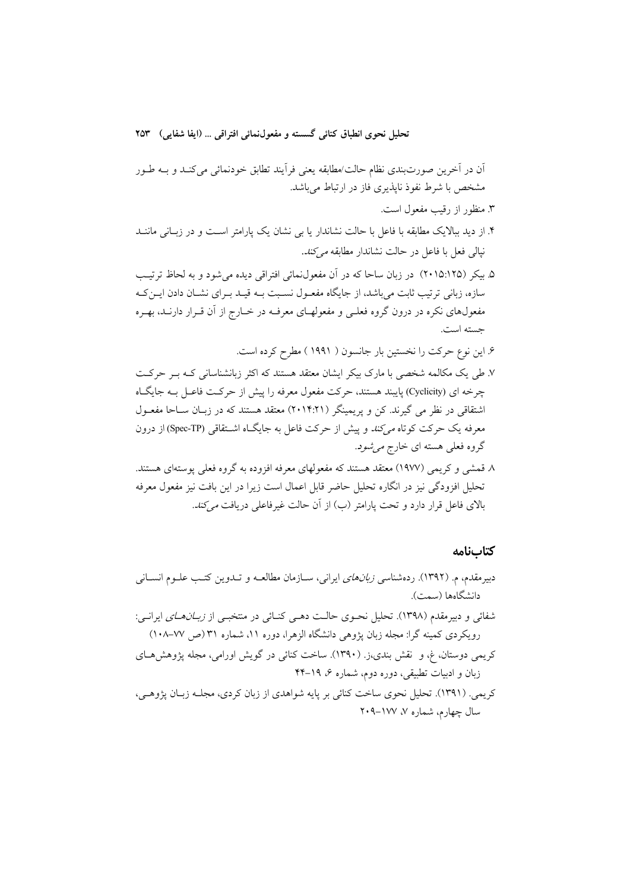آن در آخرين صورتبندي نظام حالت/مطابقه يعني فرآيند تطابق خودنمائي ميكنـد و بـه طـور مشخص با شرط نفوذ ناپذيري فاز در ارتباط ميباشد.

- .3 منظور از رقيب مفعول است.
- .4 از ديد ببالايك مطابقه با فاعل با حالت نشاندار يا بي نشان يك پارامتر اسـت و در زبـاني ماننـد نپالي فعل با فاعل در حالت نشاندار مطابقه ميكند.
- .5 بيكر (2015:125) در زبان ساحا كه در آن مفعولنمائي افتراقي ديده ميشود و به لحاظ ترتيـب سازه، زباني ترتيب ثابت ميباشد، از جايگاه مفعـول نسـبت بـه قيـد بـراي نشـان دادن ايـنكـه مفعولهاي نكره در درون گروه فعلـي و مفعولهـاي معرفـه در خـارج از آن قـرار دارنـد، بهـره جسته است.

.6 اين نوع حركت را نخستين بار جانسون ( 1991 ) مطرح كرده است.

- .7 طي يك مكالمه شخصي با مارك بيكر ايشان معتقد هستند كه اكثر زبانشناساني كـه بـر حركـت چرخه اي (Cyclicity (پايبند هستند، حركت مفعول معرفه را پيش از حركـت فاعـل بـه جايگـاه اشتقاقي در نظر مي گيرند. كن و پريمينگر (2014:21) معتقد هستند كه در زبـان سـاحا مفعـول معرفه يك حركت كوتاه ميكند و پيش از حركت فاعل به جايگـاه اشـتقاقي (TP-Spec (از درون گروه فعلي هسته اي خارج ميشود.
- .8 قمشي و كريمي (1977) معتقد هستند كه مفعولهاي معرفه افزوده به گروه فعلي پوستهاي هستند. تحليل افزودگي نيز در انگاره تحليل حاضر قابل اعمال است زيرا در اين بافت نيز مفعول معرفه بالاي فاعل قرار دارد و تحت پارامتر (ب) از آن حالت غيرفاعلي دريافت ميكند.

### **كتابنامه**

دبيرمقدم، م. (١٣٩٢). ردهشناسي *زبانهاي* ايراني، ســازمان مطالعــه و تــدوين كتـب علــوم انســاني دانشگاهها (سمت). شفائي و دبيرمقدم (1398). تحليل نحـوي حالـت دهـي كنـائي در منتخبـي از زبـانهـاي ايرانـي: رويكردي كمينه گرا: مجله زبان پژوهي دانشگاه الزهرا، دوره ،11 شماره 31 (ص 108-77) كريمي دوستان، غ، و نقش بندي،ز. (1390). ساخت كنائي در گويش اورامي، مجله پژوهشهـاي زبان و ادبيات تطبيقي، دوره دوم، شماره ،6 44-19 كريمي. (1391). تحليل نحوي ساخت كنائي بر پايه شواهدي از زبان كردي، مجلـه زبـان پژوهـي، سال چهارم، شماره ۷، ۱۷۷–۲۰۹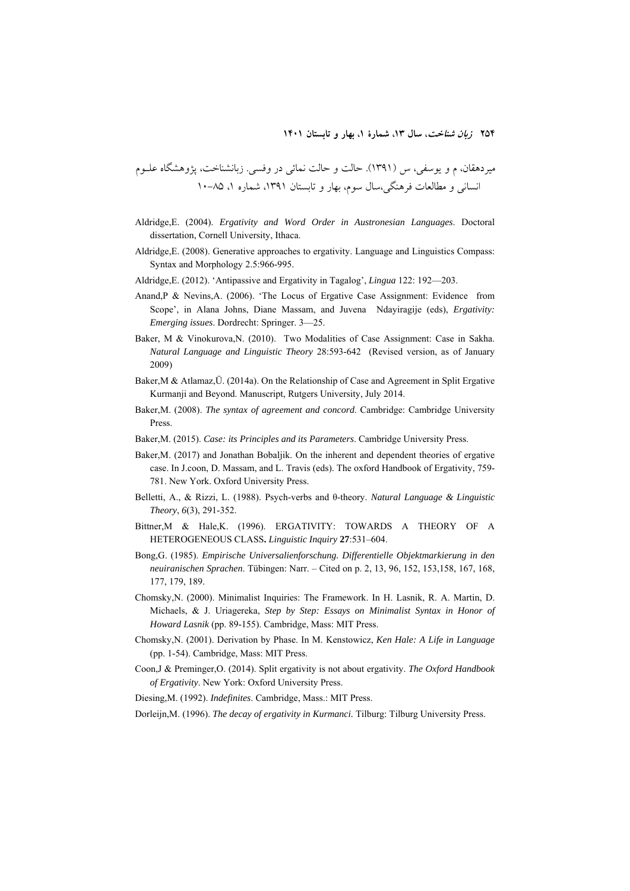ميردهقان، م و يوسفي، س (1391). حالت و حالت نمائي در وفسي. زبانشناخت، پژوهشگاه علـوم انساني و مطالعات فرهنگي،سال سوم، بهار و تابستان ،1391 شماره ،1 10-85

- Aldridge,E. (2004). *Ergativity and Word Order in Austronesian Languages*. Doctoral dissertation, Cornell University, Ithaca.
- Aldridge,E. (2008). Generative approaches to ergativity. Language and Linguistics Compass: Syntax and Morphology 2.5:966-995.
- Aldridge,E. (2012). 'Antipassive and Ergativity in Tagalog', *Lingua* 122: 192—203.
- Anand,P & Nevins,A. (2006). 'The Locus of Ergative Case Assignment: Evidence from Scope', in Alana Johns, Diane Massam, and Juvena Ndayiragije (eds), *Ergativity: Emerging issues*. Dordrecht: Springer. 3—25.
- Baker, M & Vinokurova,N. (2010). Two Modalities of Case Assignment: Case in Sakha. *Natural Language and Linguistic Theory* 28:593-642 (Revised version, as of January 2009)
- Baker,M & Atlamaz,Ü. (2014a). On the Relationship of Case and Agreement in Split Ergative Kurmanji and Beyond. Manuscript, Rutgers University, July 2014.
- Baker,M. (2008). *The syntax of agreement and concord*. Cambridge: Cambridge University Press.
- Baker,M. (2015). *Case: its Principles and its Parameters*. Cambridge University Press.
- Baker,M. (2017) and Jonathan Bobaljik. On the inherent and dependent theories of ergative case. In J.coon, D. Massam, and L. Travis (eds). The oxford Handbook of Ergativity, 759- 781. New York. Oxford University Press.
- Belletti, A., & Rizzi, L. (1988). Psych-verbs and θ-theory. *Natural Language & Linguistic Theory*, *6*(3), 291-352.
- Bittner,M & Hale,K. (1996). ERGATIVITY: TOWARDS A THEORY OF A HETEROGENEOUS CLASS**.** *Linguistic Inquiry* **27**:531–604.
- Bong,G. (1985). *Empirische Universalienforschung. Differentielle Objektmarkierung in den neuiranischen Sprachen*. Tübingen: Narr. – Cited on p. 2, 13, 96, 152, 153,158, 167, 168, 177, 179, 189.
- Chomsky,N. (2000). Minimalist Inquiries: The Framework. In H. Lasnik, R. A. Martin, D. Michaels, & J. Uriagereka, *Step by Step: Essays on Minimalist Syntax in Honor of Howard Lasnik* (pp. 89-155). Cambridge, Mass: MIT Press.
- Chomsky,N. (2001). Derivation by Phase. In M. Kenstowicz, *Ken Hale: A Life in Language*  (pp. 1-54). Cambridge, Mass: MIT Press.
- Coon,J & Preminger,O. (2014). Split ergativity is not about ergativity. *The Oxford Handbook of Ergativity*. New York: Oxford University Press.

Diesing,M. (1992). *Indefinites*. Cambridge, Mass.: MIT Press.

Dorleijn,M. (1996). *The decay of ergativity in Kurmanci.* Tilburg: Tilburg University Press.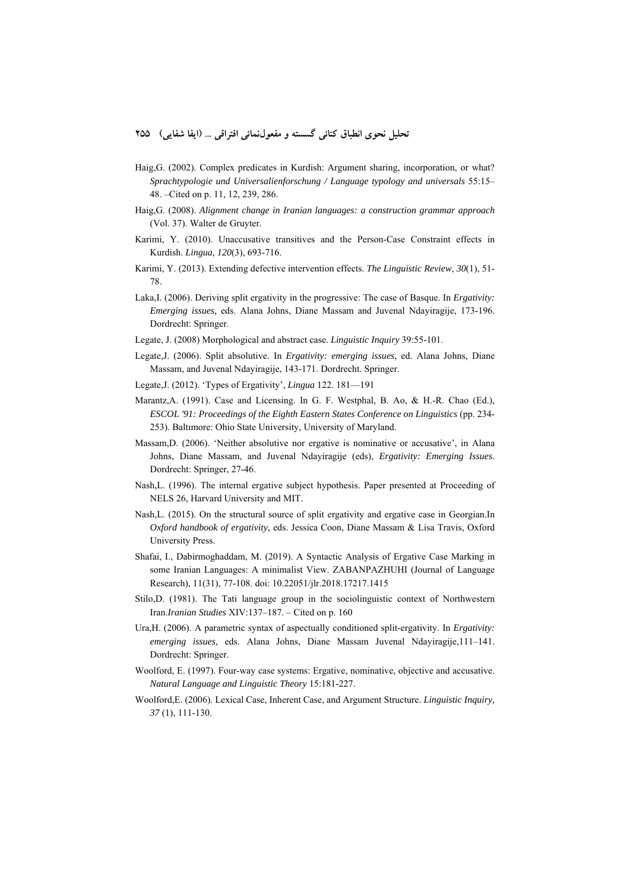- Haig,G. (2002). Complex predicates in Kurdish: Argument sharing, incorporation, or what? *Sprachtypologie und Universalienforschung / Language typology and universals* 55:15– 48. –Cited on p. 11, 12, 239, 286.
- Haig,G. (2008). *Alignment change in Iranian languages: a construction grammar approach*  (Vol. 37). Walter de Gruyter.
- Karimi, Y. (2010). Unaccusative transitives and the Person-Case Constraint effects in Kurdish. *Lingua*, *120*(3), 693-716.
- Karimi, Y. (2013). Extending defective intervention effects. *The Linguistic Review*, *30*(1), 51- 78.
- Laka,I. (2006). Deriving split ergativity in the progressive: The case of Basque. In *Ergativity: Emerging issues*, eds. Alana Johns, Diane Massam and Juvenal Ndayiragije, 173-196. Dordrecht: Springer.
- Legate, J. (2008) Morphological and abstract case. *Linguistic Inquiry* 39:55-101.
- Legate,J. (2006). Split absolutive. In *Ergativity: emerging issues*, ed. Alana Johns, Diane Massam, and Juvenal Ndayiragije, 143-171. Dordrecht. Springer.
- Legate,J. (2012). 'Types of Ergativity', *Lingua* 122. 181—191
- Marantz,A. (1991). Case and Licensing. In G. F. Westphal, B. Ao, & H.-R. Chao (Ed.), *ESCOL '91: Proceedings of the Eighth Eastern States Conference on Linguistics* (pp. 234- 253). Baltımore: Ohio State University, University of Maryland.
- Massam,D. (2006). 'Neither absolutive nor ergative is nominative or accusative', in Alana Johns, Diane Massam, and Juvenal Ndayiragije (eds), *Ergativity: Emerging Issues*. Dordrecht: Springer, 27-46.
- Nash,L. (1996). The internal ergative subject hypothesis. Paper presented at Proceeding of NELS 26, Harvard University and MIT.
- Nash,L. (2015). On the structural source of split ergativity and ergative case in Georgian.In *Oxford handbook of ergativity*, eds. Jessica Coon, Diane Massam & Lisa Travis, Oxford University Press.
- Shafai, I., Dabirmoghaddam, M. (2019). A Syntactic Analysis of Ergative Case Marking in some Iranian Languages: A minimalist View. ZABANPAZHUHI (Journal of Language Research), 11(31), 77-108. doi: 10.22051/jlr.2018.17217.1415
- Stilo,D. (1981). The Tati language group in the sociolinguistic context of Northwestern Iran.*Iranian Studies* XIV:137–187. – Cited on p. 160
- Ura,H. (2006). A parametric syntax of aspectually conditioned split-ergativity. In *Ergativity: emerging issues*, eds. Alana Johns, Diane Massam Juvenal Ndayiragije,111–141. Dordrecht: Springer.
- Woolford, E. (1997). Four-way case systems: Ergative, nominative, objective and accusative. *Natural Language and Linguistic Theory* 15:181-227.
- Woolford,E. (2006). Lexical Case, Inherent Case, and Argument Structure. *Linguistic Inquiry, 37* (1), 111-130.